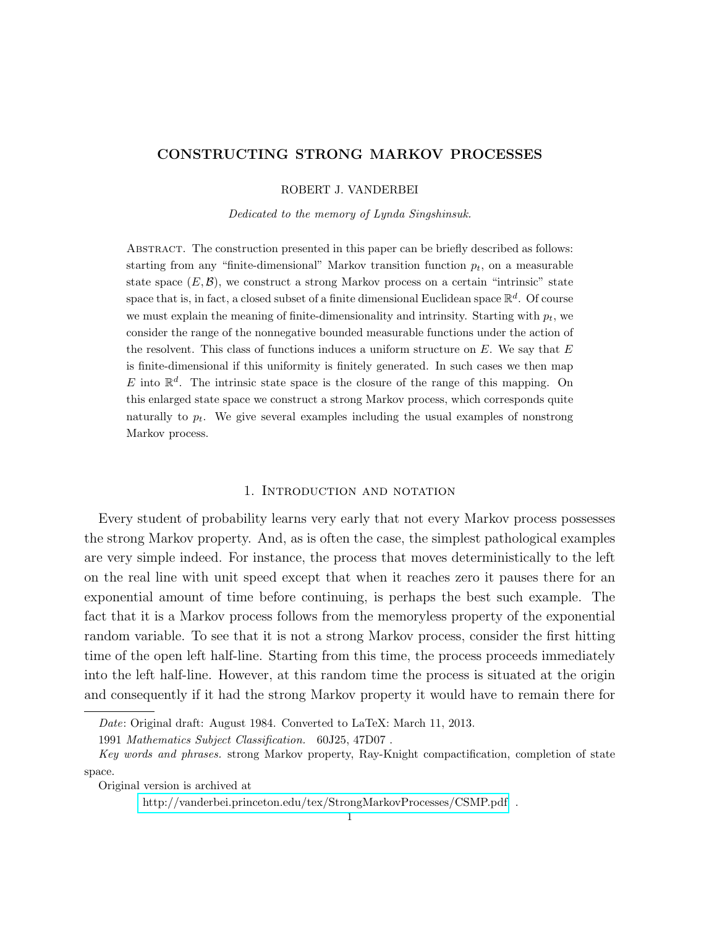# CONSTRUCTING STRONG MARKOV PROCESSES

ROBERT J. VANDERBEI

Dedicated to the memory of Lynda Singshinsuk.

Abstract. The construction presented in this paper can be briefly described as follows: starting from any "finite-dimensional" Markov transition function  $p_t$ , on a measurable state space  $(E, \mathcal{B})$ , we construct a strong Markov process on a certain "intrinsic" state space that is, in fact, a closed subset of a finite dimensional Euclidean space  $\mathbb{R}^d$ . Of course we must explain the meaning of finite-dimensionality and intrinsity. Starting with  $p_t$ , we consider the range of the nonnegative bounded measurable functions under the action of the resolvent. This class of functions induces a uniform structure on  $E$ . We say that  $E$ is finite-dimensional if this uniformity is finitely generated. In such cases we then map E into  $\mathbb{R}^d$ . The intrinsic state space is the closure of the range of this mapping. On this enlarged state space we construct a strong Markov process, which corresponds quite naturally to  $p_t$ . We give several examples including the usual examples of nonstrong Markov process.

# 1. INTRODUCTION AND NOTATION

Every student of probability learns very early that not every Markov process possesses the strong Markov property. And, as is often the case, the simplest pathological examples are very simple indeed. For instance, the process that moves deterministically to the left on the real line with unit speed except that when it reaches zero it pauses there for an exponential amount of time before continuing, is perhaps the best such example. The fact that it is a Markov process follows from the memoryless property of the exponential random variable. To see that it is not a strong Markov process, consider the first hitting time of the open left half-line. Starting from this time, the process proceeds immediately into the left half-line. However, at this random time the process is situated at the origin and consequently if it had the strong Markov property it would have to remain there for

Date: Original draft: August 1984. Converted to LaTeX: March 11, 2013.

<sup>1991</sup> Mathematics Subject Classification. 60J25, 47D07 .

Key words and phrases. strong Markov property, Ray-Knight compactification, completion of state space.

Original version is archived at

<http://vanderbei.princeton.edu/tex/StrongMarkovProcesses/CSMP.pdf>.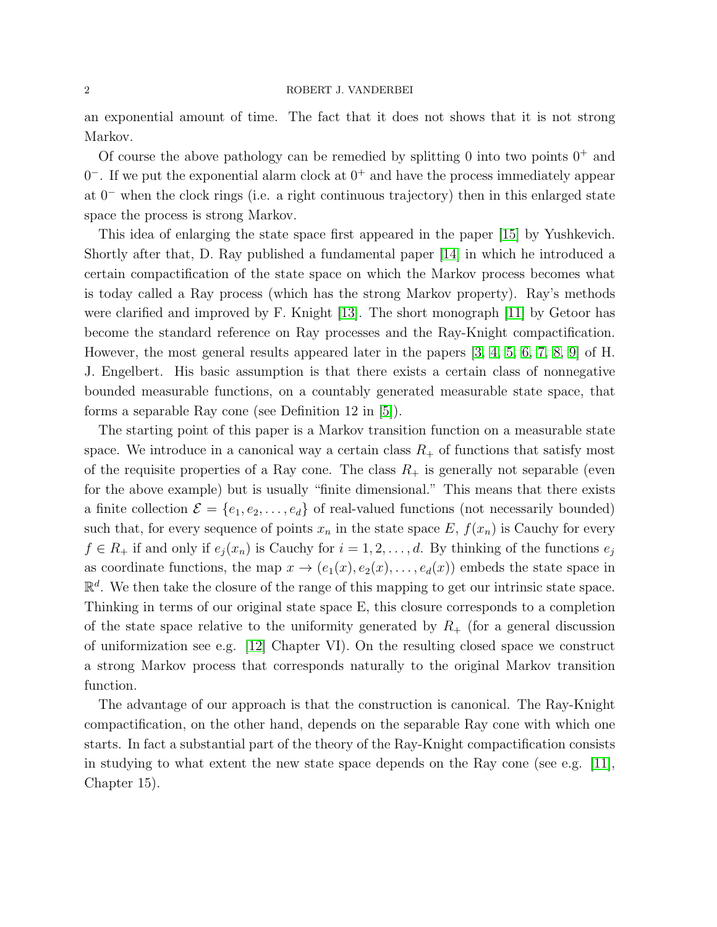#### <span id="page-1-0"></span>2 ROBERT J. VANDERBEI

an exponential amount of time. The fact that it does not shows that it is not strong Markov.

Of course the above pathology can be remedied by splitting 0 into two points  $0^+$  and  $0^-$ . If we put the exponential alarm clock at  $0^+$  and have the process immediately appear at 0<sup>−</sup> when the clock rings (i.e. a right continuous trajectory) then in this enlarged state space the process is strong Markov.

This idea of enlarging the state space first appeared in the paper [\[15\]](#page-23-0) by Yushkevich. Shortly after that, D. Ray published a fundamental paper [\[14\]](#page-23-1) in which he introduced a certain compactification of the state space on which the Markov process becomes what is today called a Ray process (which has the strong Markov property). Ray's methods were clarified and improved by F. Knight [\[13\]](#page-23-2). The short monograph [\[11\]](#page-23-3) by Getoor has become the standard reference on Ray processes and the Ray-Knight compactification. However, the most general results appeared later in the papers [\[3,](#page-23-4) [4,](#page-23-5) [5,](#page-23-6) [6,](#page-23-7) [7,](#page-23-8) [8,](#page-23-9) [9\]](#page-23-10) of H. J. Engelbert. His basic assumption is that there exists a certain class of nonnegative bounded measurable functions, on a countably generated measurable state space, that forms a separable Ray cone (see Definition 12 in [\[5\]](#page-23-6)).

The starting point of this paper is a Markov transition function on a measurable state space. We introduce in a canonical way a certain class  $R_+$  of functions that satisfy most of the requisite properties of a Ray cone. The class  $R_+$  is generally not separable (even for the above example) but is usually "finite dimensional." This means that there exists a finite collection  $\mathcal{E} = \{e_1, e_2, \ldots, e_d\}$  of real-valued functions (not necessarily bounded) such that, for every sequence of points  $x_n$  in the state space E,  $f(x_n)$  is Cauchy for every  $f \in R_+$  if and only if  $e_i(x_n)$  is Cauchy for  $i = 1, 2, \ldots, d$ . By thinking of the functions  $e_i$ as coordinate functions, the map  $x \to (e_1(x), e_2(x), \ldots, e_d(x))$  embeds the state space in  $\mathbb{R}^d$ . We then take the closure of the range of this mapping to get our intrinsic state space. Thinking in terms of our original state space E, this closure corresponds to a completion of the state space relative to the uniformity generated by  $R_{+}$  (for a general discussion of uniformization see e.g. [\[12\]](#page-23-11) Chapter VI). On the resulting closed space we construct a strong Markov process that corresponds naturally to the original Markov transition function.

The advantage of our approach is that the construction is canonical. The Ray-Knight compactification, on the other hand, depends on the separable Ray cone with which one starts. In fact a substantial part of the theory of the Ray-Knight compactification consists in studying to what extent the new state space depends on the Ray cone (see e.g. [\[11\]](#page-23-3), Chapter 15).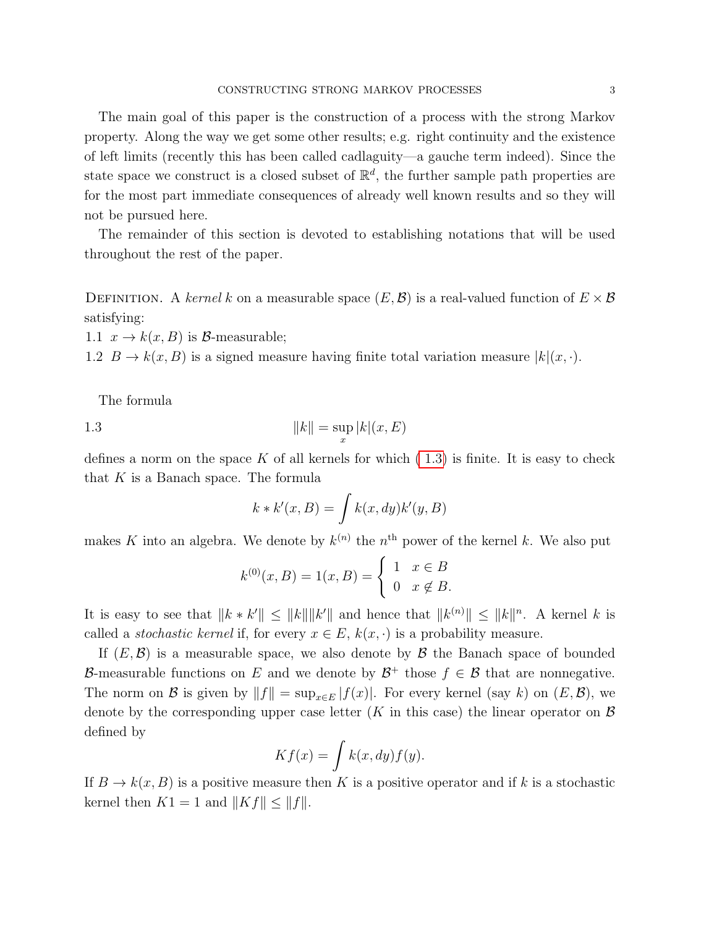The main goal of this paper is the construction of a process with the strong Markov property. Along the way we get some other results; e.g. right continuity and the existence of left limits (recently this has been called cadlaguity—a gauche term indeed). Since the state space we construct is a closed subset of  $\mathbb{R}^d$ , the further sample path properties are for the most part immediate consequences of already well known results and so they will not be pursued here.

The remainder of this section is devoted to establishing notations that will be used throughout the rest of the paper.

DEFINITION. A kernel k on a measurable space  $(E, \mathcal{B})$  is a real-valued function of  $E \times \mathcal{B}$ satisfying:

1.1  $x \to k(x, B)$  is B-measurable;

1.2  $B \to k(x, B)$  is a signed measure having finite total variation measure  $|k|(x, \cdot)$ .

<span id="page-2-0"></span>The formula

1.3 
$$
||k|| = \sup_{x} |k|(x, E)
$$

defines a norm on the space K of all kernels for which  $(1.3)$  is finite. It is easy to check that  $K$  is a Banach space. The formula

$$
k * k'(x, B) = \int k(x, dy)k'(y, B)
$$

makes K into an algebra. We denote by  $k^{(n)}$  the  $n^{\text{th}}$  power of the kernel k. We also put

$$
k^{(0)}(x, B) = 1(x, B) = \begin{cases} 1 & x \in B \\ 0 & x \notin B. \end{cases}
$$

It is easy to see that  $||k * k'|| \le ||k|| ||k'||$  and hence that  $||k^{(n)}|| \le ||k||^n$ . A kernel k is called a *stochastic kernel* if, for every  $x \in E$ ,  $k(x, \cdot)$  is a probability measure.

If  $(E, \mathcal{B})$  is a measurable space, we also denote by  $\mathcal{B}$  the Banach space of bounded B-measurable functions on E and we denote by  $\mathcal{B}^+$  those  $f \in \mathcal{B}$  that are nonnegative. The norm on B is given by  $||f|| = \sup_{x \in E} |f(x)|$ . For every kernel (say k) on  $(E, \mathcal{B})$ , we denote by the corresponding upper case letter (K in this case) the linear operator on  $\mathcal B$ defined by

$$
Kf(x) = \int k(x, dy) f(y).
$$

If  $B \to k(x, B)$  is a positive measure then K is a positive operator and if k is a stochastic kernel then  $K1 = 1$  and  $||Kf|| \leq ||f||$ .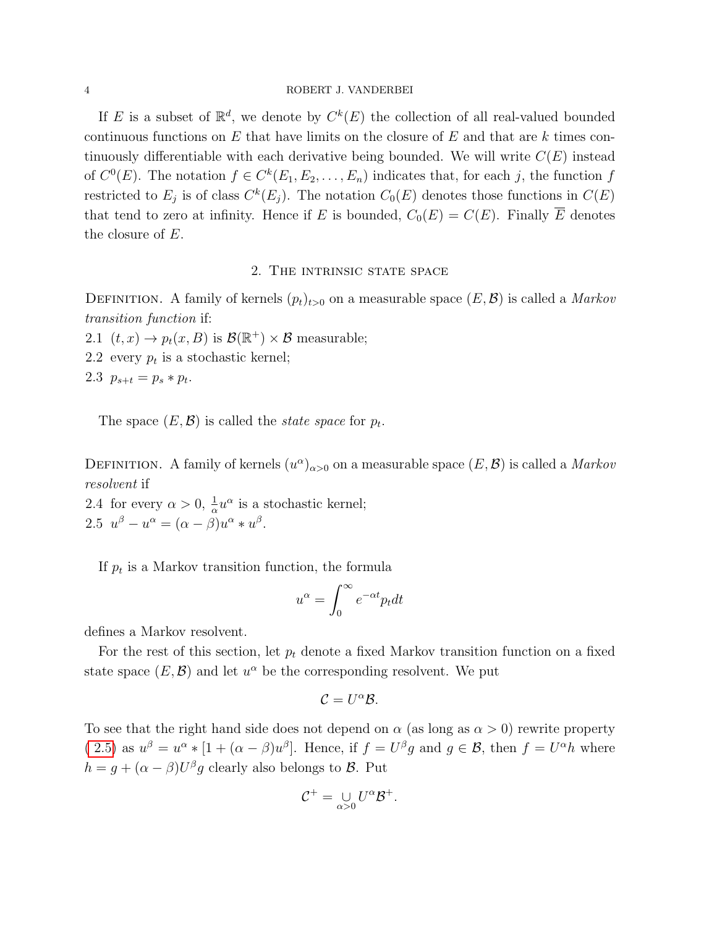#### 4 ROBERT J. VANDERBEI

If E is a subset of  $\mathbb{R}^d$ , we denote by  $C^k(E)$  the collection of all real-valued bounded continuous functions on E that have limits on the closure of  $E$  and that are k times continuously differentiable with each derivative being bounded. We will write  $C(E)$  instead of  $C^0(E)$ . The notation  $f \in C^k(E_1, E_2, \ldots, E_n)$  indicates that, for each j, the function f restricted to  $E_j$  is of class  $C^k(E_j)$ . The notation  $C_0(E)$  denotes those functions in  $C(E)$ that tend to zero at infinity. Hence if E is bounded,  $C_0(E) = C(E)$ . Finally  $\overline{E}$  denotes the closure of E.

# 2. The intrinsic state space

<span id="page-3-1"></span>DEFINITION. A family of kernels  $(p_t)_{t>0}$  on a measurable space  $(E, \mathcal{B})$  is called a *Markov* transition function if:

2.1  $(t, x) \rightarrow p_t(x, B)$  is  $\mathcal{B}(\mathbb{R}^+) \times \mathcal{B}$  measurable;

2.2 every  $p_t$  is a stochastic kernel;

2.3  $p_{s+t} = p_s * p_t$ .

The space  $(E, \mathcal{B})$  is called the *state space* for  $p_t$ .

DEFINITION. A family of kernels  $(u^{\alpha})_{\alpha>0}$  on a measurable space  $(E,\mathcal{B})$  is called a *Markov* resolvent if

<span id="page-3-0"></span>2.4 for every  $\alpha > 0$ ,  $\frac{1}{\alpha}u^{\alpha}$  is a stochastic kernel; 2.5  $u^{\beta} - u^{\alpha} = (\alpha - \beta)u^{\alpha} * u^{\beta}$ .

If  $p_t$  is a Markov transition function, the formula

$$
u^{\alpha} = \int_0^{\infty} e^{-\alpha t} p_t dt
$$

defines a Markov resolvent.

For the rest of this section, let  $p_t$  denote a fixed Markov transition function on a fixed state space  $(E, \mathcal{B})$  and let  $u^{\alpha}$  be the corresponding resolvent. We put

$$
\mathcal{C}=U^{\alpha}\mathcal{B}.
$$

To see that the right hand side does not depend on  $\alpha$  (as long as  $\alpha > 0$ ) rewrite property  $(2.5)$  as  $u^{\beta} = u^{\alpha} * [1 + (\alpha - \beta)u^{\beta}]$ . Hence, if  $f = U^{\beta}g$  and  $g \in \mathcal{B}$ , then  $f = U^{\alpha}h$  where  $h = g + (\alpha - \beta)U^{\beta}g$  clearly also belongs to  $\beta$ . Put

$$
\mathcal{C}^+ = \bigcup_{\alpha > 0} U^{\alpha} \mathcal{B}^+.
$$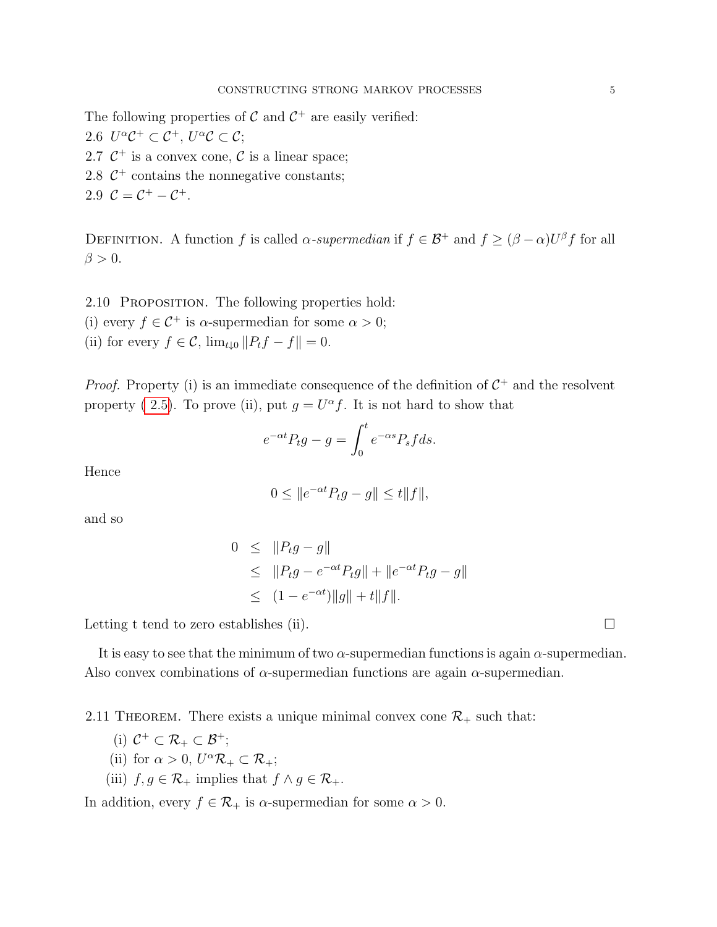The following properties of  $\mathcal C$  and  $\mathcal C^+$  are easily verified:

2.6  $U^{\alpha} \mathcal{C}^+ \subset \mathcal{C}^+$ ,  $U^{\alpha} \mathcal{C} \subset \mathcal{C}$ ;

- 2.7  $C^+$  is a convex cone, C is a linear space;
- 2.8  $C^+$  contains the nonnegative constants;
- 2.9  $C = C^+ C^+$ .

DEFINITION. A function f is called  $\alpha$ -supermedian if  $f \in \mathcal{B}^+$  and  $f \geq (\beta - \alpha)U^{\beta}f$  for all  $\beta > 0$ .

<span id="page-4-0"></span>2.10 PROPOSITION. The following properties hold: (i) every  $f \in \mathcal{C}^+$  is  $\alpha$ -supermedian for some  $\alpha > 0$ ; (ii) for every  $f \in \mathcal{C}$ ,  $\lim_{t \downarrow 0} ||P_t f - f|| = 0$ .

*Proof.* Property (i) is an immediate consequence of the definition of  $C^+$  and the resolvent property (2.5). To prove (ii), put  $g = U^{\alpha} f$ . It is not hard to show that

$$
e^{-\alpha t}P_t g - g = \int_0^t e^{-\alpha s} P_s f ds.
$$

Hence

$$
0 \le ||e^{-\alpha t} P_t g - g|| \le t ||f||,
$$

and so

$$
0 \leq ||P_t g - g||
$$
  
\n
$$
\leq ||P_t g - e^{-\alpha t} P_t g|| + ||e^{-\alpha t} P_t g - g||
$$
  
\n
$$
\leq (1 - e^{-\alpha t}) ||g|| + t ||f||.
$$

Letting t tend to zero establishes (ii).  $\Box$ 

It is easy to see that the minimum of two  $\alpha$ -supermedian functions is again  $\alpha$ -supermedian. Also convex combinations of  $\alpha$ -supermedian functions are again  $\alpha$ -supermedian.

2.11 THEOREM. There exists a unique minimal convex cone  $\mathcal{R}_+$  such that:

- (i)  $C^+ \subset \mathcal{R}_+ \subset \mathcal{B}^+;$
- (ii) for  $\alpha > 0$ ,  $U^{\alpha} \mathcal{R}_{+} \subset \mathcal{R}_{+}$ ;
- (iii)  $f, g \in \mathcal{R}_+$  implies that  $f \wedge g \in \mathcal{R}_+$ .

In addition, every  $f \in \mathcal{R}_+$  is  $\alpha$ -supermedian for some  $\alpha > 0$ .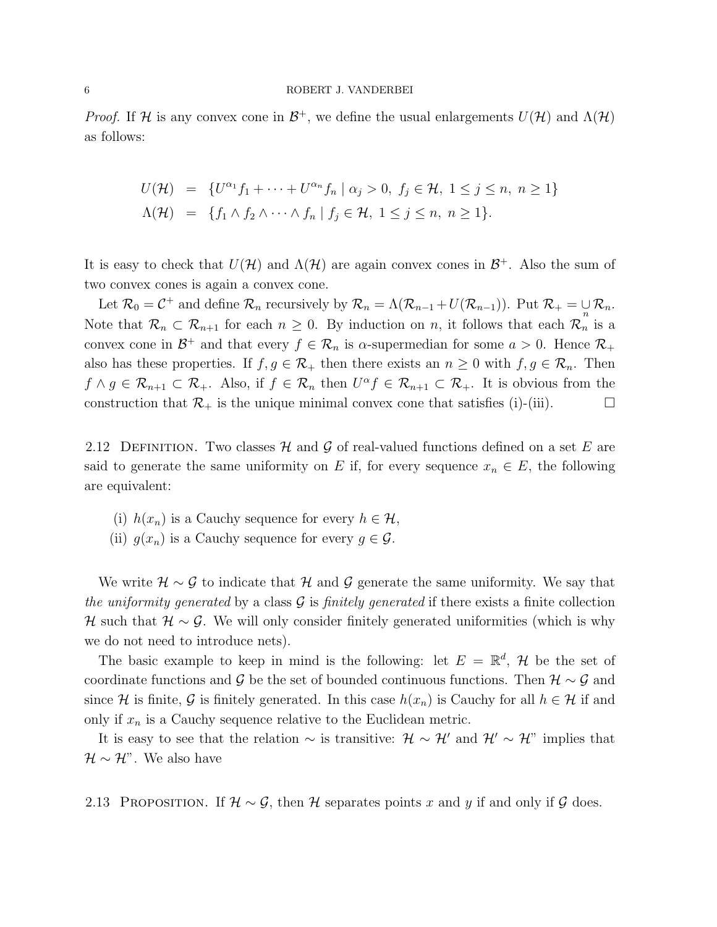*Proof.* If H is any convex cone in  $\mathcal{B}^+$ , we define the usual enlargements  $U(\mathcal{H})$  and  $\Lambda(\mathcal{H})$ as follows:

$$
U(\mathcal{H}) = \{U^{\alpha_1}f_1 + \dots + U^{\alpha_n}f_n \mid \alpha_j > 0, \ f_j \in \mathcal{H}, \ 1 \le j \le n, \ n \ge 1\}
$$
  

$$
\Lambda(\mathcal{H}) = \{f_1 \wedge f_2 \wedge \dots \wedge f_n \mid f_j \in \mathcal{H}, \ 1 \le j \le n, \ n \ge 1\}.
$$

It is easy to check that  $U(\mathcal{H})$  and  $\Lambda(\mathcal{H})$  are again convex cones in  $\mathcal{B}^+$ . Also the sum of two convex cones is again a convex cone.

Let  $\mathcal{R}_0 = \mathcal{C}^+$  and define  $\mathcal{R}_n$  recursively by  $\mathcal{R}_n = \Lambda(\mathcal{R}_{n-1} + U(\mathcal{R}_{n-1}))$ . Put  $\mathcal{R}_+ = \bigcup_n \mathcal{R}_n$ . Note that  $\mathcal{R}_n \subset \mathcal{R}_{n+1}$  for each  $n \geq 0$ . By induction on n, it follows that each  $\mathcal{R}_n$  is a convex cone in  $\mathcal{B}^+$  and that every  $f \in \mathcal{R}_n$  is  $\alpha$ -supermedian for some  $a > 0$ . Hence  $\mathcal{R}_+$ also has these properties. If  $f, g \in \mathcal{R}_+$  then there exists an  $n \geq 0$  with  $f, g \in \mathcal{R}_n$ . Then  $f \wedge g \in \mathcal{R}_{n+1} \subset \mathcal{R}_+$ . Also, if  $f \in \mathcal{R}_n$  then  $U^{\alpha} f \in \mathcal{R}_{n+1} \subset \mathcal{R}_+$ . It is obvious from the construction that  $\mathcal{R}_+$  is the unique minimal convex cone that satisfies (i)-(iii).

2.12 DEFINITION. Two classes H and G of real-valued functions defined on a set E are said to generate the same uniformity on E if, for every sequence  $x_n \in E$ , the following are equivalent:

- (i)  $h(x_n)$  is a Cauchy sequence for every  $h \in \mathcal{H}$ ,
- (ii)  $g(x_n)$  is a Cauchy sequence for every  $g \in \mathcal{G}$ .

We write  $\mathcal{H} \sim \mathcal{G}$  to indicate that  $\mathcal{H}$  and  $\mathcal{G}$  generate the same uniformity. We say that the uniformity generated by a class  $\mathcal G$  is finitely generated if there exists a finite collection H such that  $\mathcal{H} \sim \mathcal{G}$ . We will only consider finitely generated uniformities (which is why we do not need to introduce nets).

The basic example to keep in mind is the following: let  $E = \mathbb{R}^d$ , H be the set of coordinate functions and G be the set of bounded continuous functions. Then  $\mathcal{H} \sim \mathcal{G}$  and since H is finite, G is finitely generated. In this case  $h(x_n)$  is Cauchy for all  $h \in \mathcal{H}$  if and only if  $x_n$  is a Cauchy sequence relative to the Euclidean metric.

It is easy to see that the relation  $\sim$  is transitive:  $\mathcal{H} \sim \mathcal{H}'$  and  $\mathcal{H}' \sim \mathcal{H}''$  implies that  $\mathcal{H} \sim \mathcal{H}$ ". We also have

<span id="page-5-0"></span>2.13 PROPOSITION. If  $\mathcal{H} \sim \mathcal{G}$ , then  $\mathcal{H}$  separates points x and y if and only if  $\mathcal{G}$  does.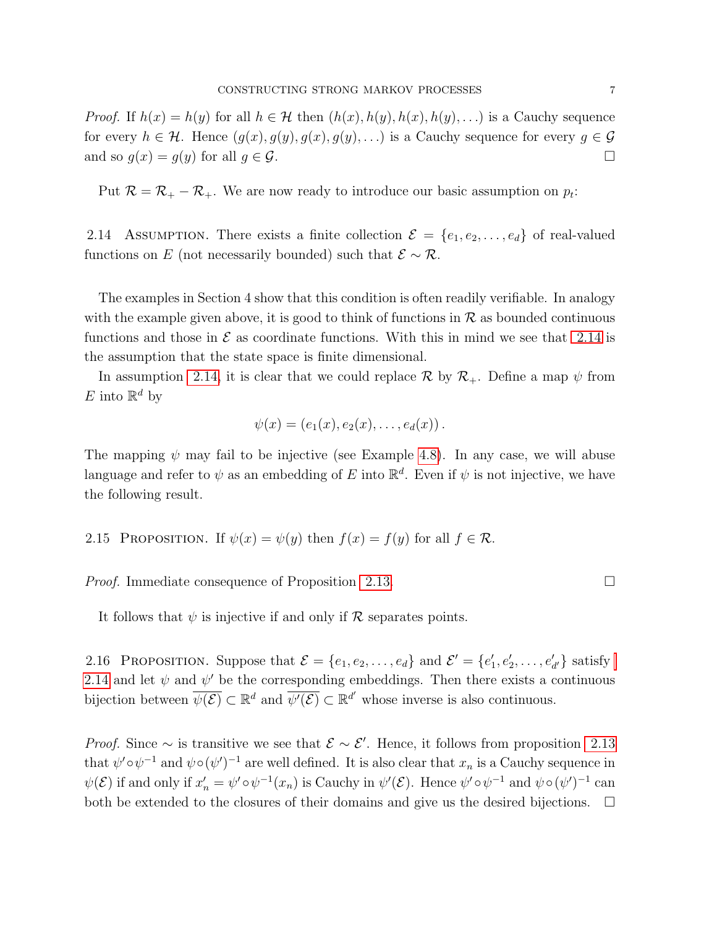*Proof.* If  $h(x) = h(y)$  for all  $h \in \mathcal{H}$  then  $(h(x), h(y), h(x), h(y), ...)$  is a Cauchy sequence for every  $h \in \mathcal{H}$ . Hence  $(g(x), g(y), g(x), g(y), ...)$  is a Cauchy sequence for every  $g \in \mathcal{G}$ and so  $g(x) = g(y)$  for all  $g \in \mathcal{G}$ .

Put  $\mathcal{R} = \mathcal{R}_{+} - \mathcal{R}_{+}$ . We are now ready to introduce our basic assumption on  $p_t$ :

<span id="page-6-0"></span>2.14 ASSUMPTION. There exists a finite collection  $\mathcal{E} = \{e_1, e_2, \ldots, e_d\}$  of real-valued functions on E (not necessarily bounded) such that  $\mathcal{E} \sim \mathcal{R}$ .

The examples in Section 4 show that this condition is often readily verifiable. In analogy with the example given above, it is good to think of functions in  $\mathcal R$  as bounded continuous functions and those in  $\mathcal E$  as coordinate functions. With this in mind we see that [2.14](#page-6-0) is the assumption that the state space is finite dimensional.

In assumption [2.14,](#page-6-0) it is clear that we could replace  $\mathcal{R}$  by  $\mathcal{R}_{+}$ . Define a map  $\psi$  from E into  $\mathbb{R}^d$  by

$$
\psi(x) = (e_1(x), e_2(x), \ldots, e_d(x)).
$$

The mapping  $\psi$  may fail to be injective (see Example [4.8\)](#page-20-0). In any case, we will abuse language and refer to  $\psi$  as an embedding of E into  $\mathbb{R}^d$ . Even if  $\psi$  is not injective, we have the following result.

<span id="page-6-2"></span>2.15 PROPOSITION. If 
$$
\psi(x) = \psi(y)
$$
 then  $f(x) = f(y)$  for all  $f \in \mathcal{R}$ .

*Proof.* Immediate consequence of Proposition [2.13.](#page-5-0)

It follows that  $\psi$  is injective if and only if  $\mathcal R$  separates points.

<span id="page-6-1"></span>2.16 PROPOSITION. Suppose that  $\mathcal{E} = \{e_1, e_2, \dots, e_d\}$  and  $\mathcal{E}' = \{e'_1, e'_2, \dots, e'_{d'}\}$  satisfy [2.14](#page-6-0) and let  $\psi$  and  $\psi'$  be the corresponding embeddings. Then there exists a continuous bijection between  $\overline{\psi(\mathcal{E})} \subset \mathbb{R}^d$  and  $\overline{\psi'(\mathcal{E})} \subset \mathbb{R}^{d'}$  whose inverse is also continuous.

*Proof.* Since  $\sim$  is transitive we see that  $\mathcal{E} \sim \mathcal{E}'$ . Hence, it follows from proposition [2.13](#page-5-0) that  $\psi' \circ \psi^{-1}$  and  $\psi \circ (\psi')^{-1}$  are well defined. It is also clear that  $x_n$  is a Cauchy sequence in  $\psi(\mathcal{E})$  if and only if  $x'_n = \psi' \circ \psi^{-1}(x_n)$  is Cauchy in  $\psi'(\mathcal{E})$ . Hence  $\psi' \circ \psi^{-1}$  and  $\psi \circ (\psi')^{-1}$  can both be extended to the closures of their domains and give us the desired bijections.  $\Box$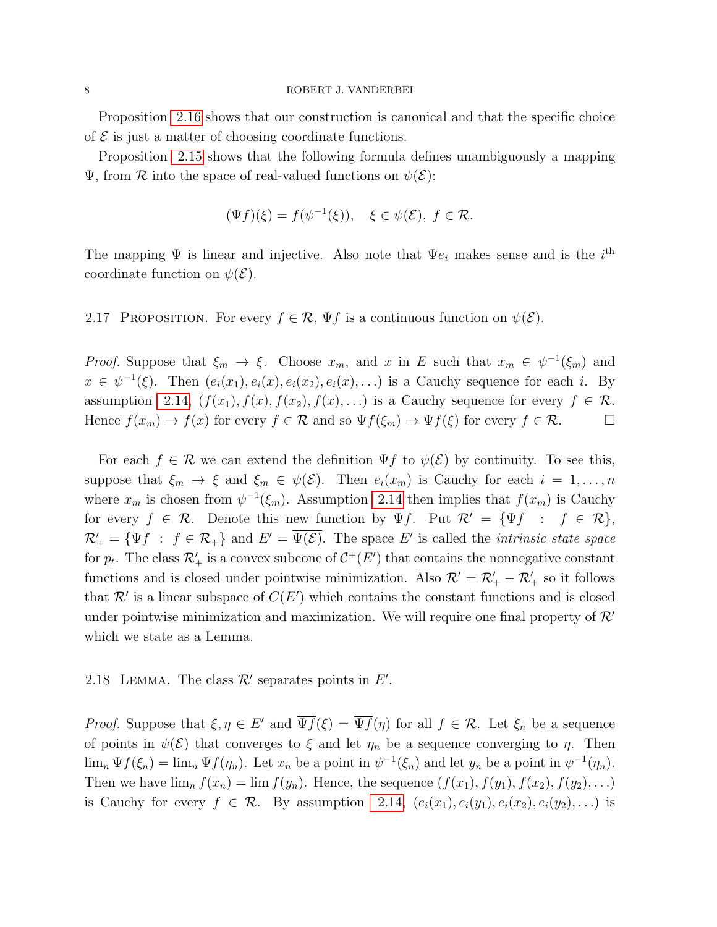Proposition [2.16](#page-6-1) shows that our construction is canonical and that the specific choice of  $\mathcal E$  is just a matter of choosing coordinate functions.

Proposition [2.15](#page-6-2) shows that the following formula defines unambiguously a mapping  $\Psi$ , from  $\mathcal R$  into the space of real-valued functions on  $\psi(\mathcal E)$ :

$$
(\Psi f)(\xi) = f(\psi^{-1}(\xi)), \quad \xi \in \psi(\mathcal{E}), \ f \in \mathcal{R}.
$$

The mapping  $\Psi$  is linear and injective. Also note that  $\Psi e_i$  makes sense and is the  $i^{\text{th}}$ coordinate function on  $\psi(\mathcal{E})$ .

2.17 PROPOSITION. For every  $f \in \mathcal{R}$ ,  $\Psi f$  is a continuous function on  $\psi(\mathcal{E})$ .

*Proof.* Suppose that  $\xi_m \to \xi$ . Choose  $x_m$ , and x in E such that  $x_m \in \psi^{-1}(\xi_m)$  and  $x \in \psi^{-1}(\xi)$ . Then  $(e_i(x_1), e_i(x), e_i(x_2), e_i(x), ...)$  is a Cauchy sequence for each i. By assumption [2.14,](#page-6-0)  $(f(x_1), f(x), f(x_2), f(x), ...)$  is a Cauchy sequence for every  $f \in \mathcal{R}$ . Hence  $f(x_m) \to f(x)$  for every  $f \in \mathcal{R}$  and so  $\Psi f(\xi_m) \to \Psi f(\xi)$  for every  $f \in \mathcal{R}$ .

For each  $f \in \mathcal{R}$  we can extend the definition  $\Psi f$  to  $\overline{\psi(\mathcal{E})}$  by continuity. To see this, suppose that  $\xi_m \to \xi$  and  $\xi_m \in \psi(\mathcal{E})$ . Then  $e_i(x_m)$  is Cauchy for each  $i = 1, \ldots, n$ where  $x_m$  is chosen from  $\psi^{-1}(\xi_m)$ . Assumption [2.14](#page-6-0) then implies that  $f(x_m)$  is Cauchy for every  $f \in \mathcal{R}$ . Denote this new function by  $\overline{\Psi f}$ . Put  $\mathcal{R}' = {\overline{\Psi f}}$  :  $f \in \mathcal{R}$ ,  $\mathcal{R}'_+ = \{\overline{\Psi f} : f \in \mathcal{R}_+\}$  and  $E' = \overline{\Psi(\mathcal{E})}$ . The space E' is called the *intrinsic state space* for  $p_t$ . The class  $\mathcal{R}'_+$  is a convex subcone of  $\mathcal{C}^+(E')$  that contains the nonnegative constant functions and is closed under pointwise minimization. Also  $\mathcal{R}' = \mathcal{R}'_+ - \mathcal{R}'_+$  so it follows that  $\mathcal{R}'$  is a linear subspace of  $C(E')$  which contains the constant functions and is closed under pointwise minimization and maximization. We will require one final property of  $\mathcal{R}'$ which we state as a Lemma.

# 2.18 LEMMA. The class  $\mathcal{R}'$  separates points in  $E'$ .

*Proof.* Suppose that  $\xi, \eta \in E'$  and  $\overline{\Psi f}(\xi) = \overline{\Psi f}(\eta)$  for all  $f \in \mathcal{R}$ . Let  $\xi_n$  be a sequence of points in  $\psi(\mathcal{E})$  that converges to  $\xi$  and let  $\eta_n$  be a sequence converging to  $\eta$ . Then  $\lim_{n} \Psi f(\xi_n) = \lim_{n} \Psi f(\eta_n)$ . Let  $x_n$  be a point in  $\psi^{-1}(\xi_n)$  and let  $y_n$  be a point in  $\psi^{-1}(\eta_n)$ . Then we have  $\lim_{n} f(x_n) = \lim_{n} f(y_n)$ . Hence, the sequence  $(f(x_1), f(y_1), f(x_2), f(y_2), ...)$ is Cauchy for every  $f \in \mathcal{R}$ . By assumption [2.14,](#page-6-0)  $(e_i(x_1), e_i(y_1), e_i(x_2), e_i(y_2), ...)$  is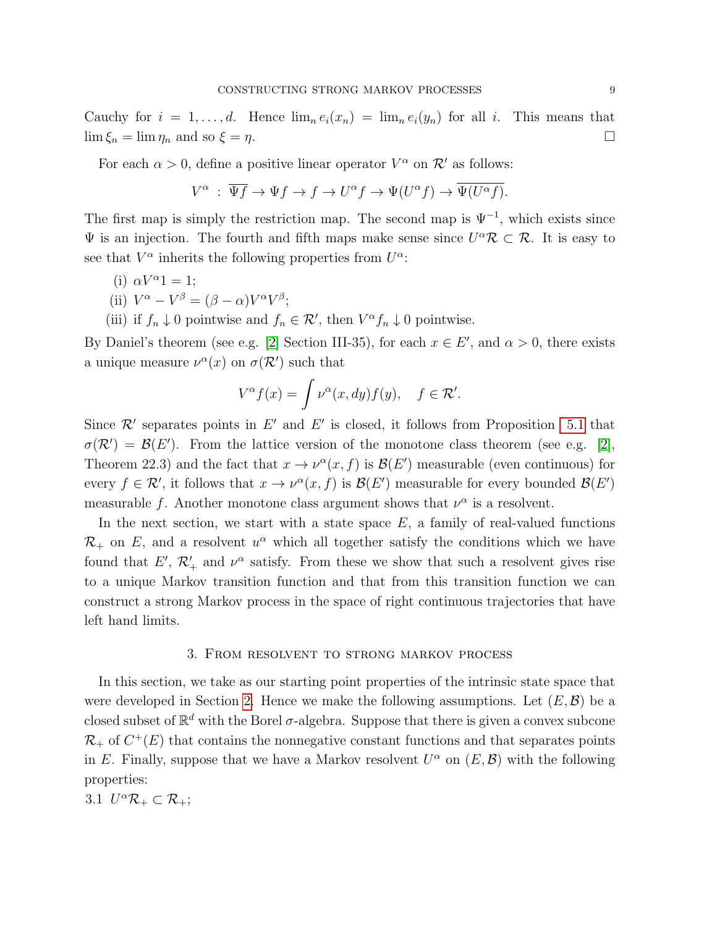<span id="page-8-1"></span>Cauchy for  $i = 1, ..., d$ . Hence  $\lim_{n} e_i(x_n) = \lim_{n} e_i(y_n)$  for all i. This means that  $\lim \xi_n = \lim \eta_n$  and so  $\xi = \eta$ .

For each  $\alpha > 0$ , define a positive linear operator  $V^{\alpha}$  on  $\mathcal{R}'$  as follows:

$$
V^{\alpha} : \overline{\Psi f} \to \Psi f \to f \to U^{\alpha} f \to \Psi(U^{\alpha} f) \to \overline{\Psi(U^{\alpha} f)}.
$$

The first map is simply the restriction map. The second map is  $\Psi^{-1}$ , which exists since  $\Psi$  is an injection. The fourth and fifth maps make sense since  $U^{\alpha} \mathcal{R} \subset \mathcal{R}$ . It is easy to see that  $V^{\alpha}$  inherits the following properties from  $U^{\alpha}$ :

(i) 
$$
\alpha V^{\alpha}1 = 1;
$$

(ii) 
$$
V^{\alpha} - V^{\beta} = (\beta - \alpha)V^{\alpha}V^{\beta};
$$

(iii) if  $f_n \downarrow 0$  pointwise and  $f_n \in \mathcal{R}'$ , then  $V^{\alpha} f_n \downarrow 0$  pointwise.

By Daniel's theorem (see e.g. [\[2\]](#page-23-12) Section III-35), for each  $x \in E'$ , and  $\alpha > 0$ , there exists a unique measure  $\nu^{\alpha}(x)$  on  $\sigma(\mathcal{R}')$  such that

$$
V^{\alpha}f(x) = \int \nu^{\alpha}(x, dy) f(y), \quad f \in \mathcal{R}'.
$$

Since  $\mathcal{R}'$  separates points in E' and E' is closed, it follows from Proposition [5.1](#page-20-1) that  $\sigma(\mathcal{R}') = \mathcal{B}(E')$ . From the lattice version of the monotone class theorem (see e.g. [\[2\]](#page-23-12), Theorem 22.3) and the fact that  $x \to \nu^{\alpha}(x, f)$  is  $\mathcal{B}(E')$  measurable (even continuous) for every  $f \in \mathcal{R}'$ , it follows that  $x \to \nu^{\alpha}(x, f)$  is  $\mathcal{B}(E')$  measurable for every bounded  $\mathcal{B}(E')$ measurable f. Another monotone class argument shows that  $\nu^{\alpha}$  is a resolvent.

In the next section, we start with a state space  $E$ , a family of real-valued functions  $\mathcal{R}_+$  on E, and a resolvent  $u^{\alpha}$  which all together satisfy the conditions which we have found that  $E'$ ,  $\mathcal{R}'_+$  and  $\nu^{\alpha}$  satisfy. From these we show that such a resolvent gives rise to a unique Markov transition function and that from this transition function we can construct a strong Markov process in the space of right continuous trajectories that have left hand limits.

#### 3. From resolvent to strong markov process

In this section, we take as our starting point properties of the intrinsic state space that were developed in Section [2.](#page-3-1) Hence we make the following assumptions. Let  $(E, \mathcal{B})$  be a closed subset of  $\mathbb{R}^d$  with the Borel  $\sigma$ -algebra. Suppose that there is given a convex subcone  $\mathcal{R}_+$  of  $C^+(E)$  that contains the nonnegative constant functions and that separates points in E. Finally, suppose that we have a Markov resolvent  $U^{\alpha}$  on  $(E, \mathcal{B})$  with the following properties:

<span id="page-8-0"></span>3.1  $U^{\alpha}\mathcal{R}_{+} \subset \mathcal{R}_{+}$ ;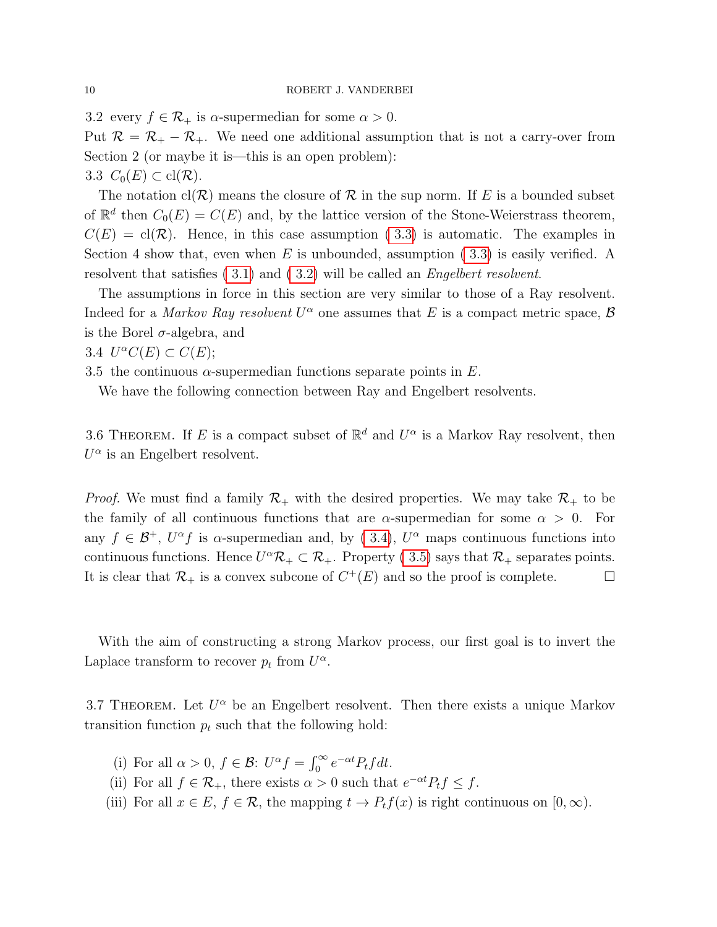<span id="page-9-1"></span>3.2 every  $f \in \mathcal{R}_+$  is  $\alpha$ -supermedian for some  $\alpha > 0$ . Put  $\mathcal{R} = \mathcal{R}_+ - \mathcal{R}_+$ . We need one additional assumption that is not a carry-over from Section 2 (or maybe it is—this is an open problem): 3.3  $C_0(E) \subset \text{cl}(\mathcal{R})$ .

<span id="page-9-0"></span>The notation  $cl(R)$  means the closure of R in the sup norm. If E is a bounded subset of  $\mathbb{R}^d$  then  $C_0(E) = C(E)$  and, by the lattice version of the Stone-Weierstrass theorem,  $C(E) = \text{cl}(\mathcal{R})$ . Hence, in this case assumption (3.3) is automatic. The examples in Section 4 show that, even when E is unbounded, assumption  $(3.3)$  is easily verified. A resolvent that satisfies [\( 3.1\)](#page-8-0) and [\( 3.2\)](#page-9-1) will be called an Engelbert resolvent.

The assumptions in force in this section are very similar to those of a Ray resolvent. Indeed for a *Markov Ray resolvent*  $U^{\alpha}$  one assumes that E is a compact metric space, B is the Borel  $\sigma$ -algebra, and

<span id="page-9-2"></span>3.4  $U^{\alpha}C(E) \subset C(E);$ 

<span id="page-9-3"></span>3.5 the continuous  $\alpha$ -supermedian functions separate points in E.

We have the following connection between Ray and Engelbert resolvents.

3.6 THEOREM. If E is a compact subset of  $\mathbb{R}^d$  and  $U^{\alpha}$  is a Markov Ray resolvent, then  $U^{\alpha}$  is an Engelbert resolvent.

*Proof.* We must find a family  $\mathcal{R}_+$  with the desired properties. We may take  $\mathcal{R}_+$  to be the family of all continuous functions that are  $\alpha$ -supermedian for some  $\alpha > 0$ . For any  $f \in \mathcal{B}^+$ ,  $U^{\alpha} f$  is  $\alpha$ -supermedian and, by (3.4),  $U^{\alpha}$  maps continuous functions into continuous functions. Hence  $U^{\alpha}\mathcal{R}_{+}\subset \mathcal{R}_{+}$ . Property (3.5) says that  $\mathcal{R}_{+}$  separates points. It is clear that  $\mathcal{R}_+$  is a convex subcone of  $C^+(E)$  and so the proof is complete.

With the aim of constructing a strong Markov process, our first goal is to invert the Laplace transform to recover  $p_t$  from  $U^{\alpha}$ .

<span id="page-9-4"></span>3.7 THEOREM. Let  $U^{\alpha}$  be an Engelbert resolvent. Then there exists a unique Markov transition function  $p_t$  such that the following hold:

- (i) For all  $\alpha > 0$ ,  $f \in \mathcal{B}$ :  $U^{\alpha} f = \int_0^{\infty} e^{-\alpha t} P_t f dt$ .
- (ii) For all  $f \in \mathcal{R}_+$ , there exists  $\alpha > 0$  such that  $e^{-\alpha t} P_t f \leq f$ .
- (iii) For all  $x \in E$ ,  $f \in \mathcal{R}$ , the mapping  $t \to P_tf(x)$  is right continuous on  $[0,\infty)$ .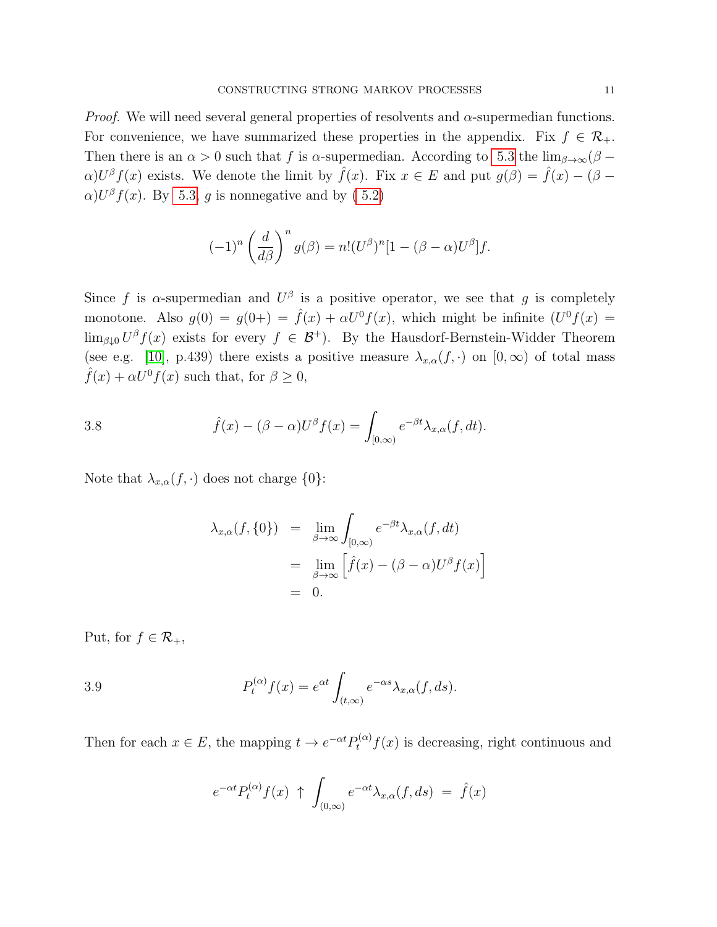<span id="page-10-1"></span>*Proof.* We will need several general properties of resolvents and  $\alpha$ -supermedian functions. For convenience, we have summarized these properties in the appendix. Fix  $f \in \mathcal{R}_+$ . Then there is an  $\alpha > 0$  such that f is  $\alpha$ -supermedian. According to [5.3](#page-22-0) the  $\lim_{\beta \to \infty} (\beta \alpha$ )U<sup>β</sup>  $f(x)$  exists. We denote the limit by  $\hat{f}(x)$ . Fix  $x \in E$  and put  $g(\beta) = \hat{f}(x) - (\beta - \beta)$  $\alpha$ )U<sup>β</sup>  $f(x)$ . By [5.3,](#page-22-0) g is nonnegative and by (5.2)

$$
(-1)^n \left(\frac{d}{d\beta}\right)^n g(\beta) = n!(U^{\beta})^n [1 - (\beta - \alpha)U^{\beta}]f.
$$

Since f is  $\alpha$ -supermedian and  $U^{\beta}$  is a positive operator, we see that g is completely monotone. Also  $g(0) = g(0+) = \hat{f}(x) + \alpha U^0 f(x)$ , which might be infinite  $(U^0 f(x)) =$  $\lim_{\beta\downarrow 0} U^{\beta} f(x)$  exists for every  $f \in \mathcal{B}^+$ ). By the Hausdorf-Bernstein-Widder Theorem (see e.g. [\[10\]](#page-23-13), p.439) there exists a positive measure  $\lambda_{x,\alpha}(f,.)$  on  $[0,\infty)$  of total mass  $\hat{f}(x) + \alpha U^0 f(x)$  such that, for  $\beta \geq 0$ ,

3.8 
$$
\hat{f}(x) - (\beta - \alpha)U^{\beta}f(x) = \int_{[0,\infty)} e^{-\beta t} \lambda_{x,\alpha}(f, dt).
$$

Note that  $\lambda_{x,\alpha}(f,\cdot)$  does not charge  $\{0\}$ :

<span id="page-10-0"></span>
$$
\lambda_{x,\alpha}(f,\{0\}) = \lim_{\beta \to \infty} \int_{[0,\infty)} e^{-\beta t} \lambda_{x,\alpha}(f,dt)
$$
  
= 
$$
\lim_{\beta \to \infty} \left[ \hat{f}(x) - (\beta - \alpha)U^{\beta} f(x) \right]
$$
  
= 0.

Put, for  $f \in \mathcal{R}_+$ ,

3.9 
$$
P_t^{(\alpha)}f(x) = e^{\alpha t} \int_{(t,\infty)} e^{-\alpha s} \lambda_{x,\alpha}(f, ds).
$$

Then for each  $x \in E$ , the mapping  $t \to e^{-\alpha t} P_t^{(\alpha)} f(x)$  is decreasing, right continuous and

$$
e^{-\alpha t} P_t^{(\alpha)} f(x) \uparrow \int_{(0,\infty)} e^{-\alpha t} \lambda_{x,\alpha}(f, ds) = \hat{f}(x)
$$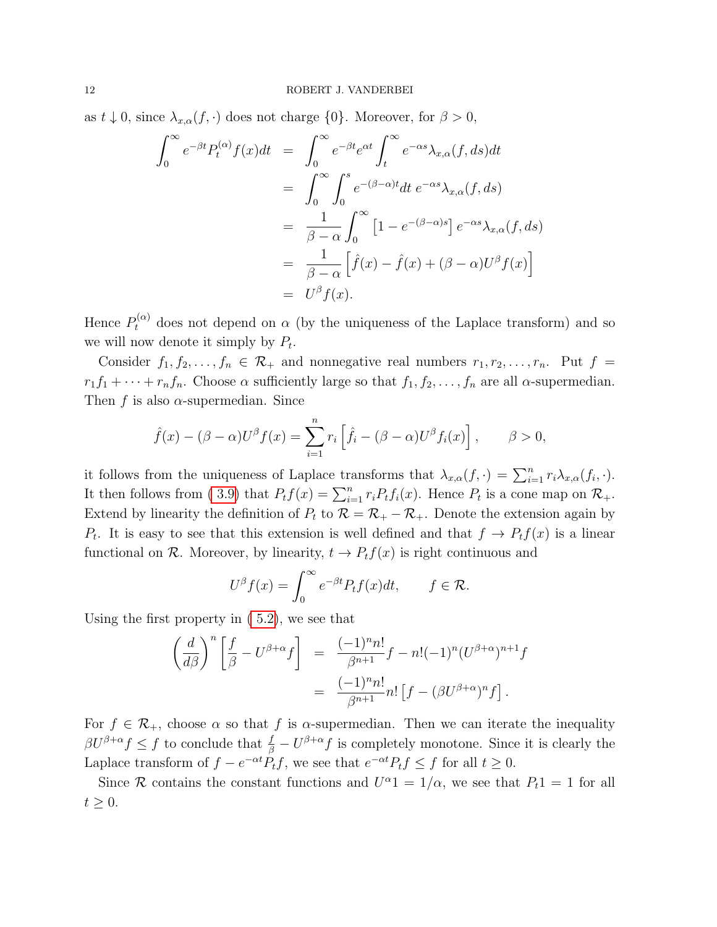as  $t \downarrow 0$ , since  $\lambda_{x,\alpha}(f,\cdot)$  does not charge  $\{0\}$ . Moreover, for  $\beta > 0$ ,

$$
\int_0^\infty e^{-\beta t} P_t^{(\alpha)} f(x) dt = \int_0^\infty e^{-\beta t} e^{\alpha t} \int_t^\infty e^{-\alpha s} \lambda_{x,\alpha}(f, ds) dt
$$
  
\n
$$
= \int_0^\infty \int_0^s e^{-(\beta - \alpha)t} dt e^{-\alpha s} \lambda_{x,\alpha}(f, ds)
$$
  
\n
$$
= \frac{1}{\beta - \alpha} \int_0^\infty \left[1 - e^{-(\beta - \alpha)s}\right] e^{-\alpha s} \lambda_{x,\alpha}(f, ds)
$$
  
\n
$$
= \frac{1}{\beta - \alpha} \left[\hat{f}(x) - \hat{f}(x) + (\beta - \alpha)U^\beta f(x)\right]
$$
  
\n
$$
= U^\beta f(x).
$$

Hence  $P_t^{(\alpha)}$  does not depend on  $\alpha$  (by the uniqueness of the Laplace transform) and so we will now denote it simply by  $P_t$ .

Consider  $f_1, f_2, \ldots, f_n \in \mathcal{R}_+$  and nonnegative real numbers  $r_1, r_2, \ldots, r_n$ . Put  $f =$  $r_1f_1 + \cdots + r_nf_n$ . Choose  $\alpha$  sufficiently large so that  $f_1, f_2, \ldots, f_n$  are all  $\alpha$ -supermedian. Then f is also  $\alpha$ -supermedian. Since

$$
\hat{f}(x) - (\beta - \alpha)U^{\beta}f(x) = \sum_{i=1}^{n} r_i \left[ \hat{f}_i - (\beta - \alpha)U^{\beta}f_i(x) \right], \qquad \beta > 0,
$$

it follows from the uniqueness of Laplace transforms that  $\lambda_{x,\alpha}(f, \cdot) = \sum_{i=1}^n r_i \lambda_{x,\alpha}(f_i, \cdot)$ . It then follows from (3.9) that  $P_t f(x) = \sum_{i=1}^n r_i P_t f_i(x)$ . Hence  $P_t$  is a cone map on  $\mathcal{R}_+$ . Extend by linearity the definition of  $P_t$  to  $\mathcal{R} = \mathcal{R}_+ - \mathcal{R}_+$ . Denote the extension again by  $P_t$ . It is easy to see that this extension is well defined and that  $f \to P_t f(x)$  is a linear functional on R. Moreover, by linearity,  $t \to P_t f(x)$  is right continuous and

$$
U^{\beta}f(x) = \int_0^{\infty} e^{-\beta t} P_t f(x) dt, \qquad f \in \mathcal{R}.
$$

Using the first property in [\( 5.2\)](#page-21-0), we see that

$$
\left(\frac{d}{d\beta}\right)^n \left[\frac{f}{\beta} - U^{\beta+\alpha}f\right] = \frac{(-1)^n n!}{\beta^{n+1}} f - n!(-1)^n (U^{\beta+\alpha})^{n+1} f
$$

$$
= \frac{(-1)^n n!}{\beta^{n+1}} n! \left[f - (\beta U^{\beta+\alpha})^n f\right].
$$

For  $f \in \mathcal{R}_+$ , choose  $\alpha$  so that f is  $\alpha$ -supermedian. Then we can iterate the inequality  $\beta U^{\beta+\alpha} f \leq f$  to conclude that  $\frac{f}{\beta} - U^{\beta+\alpha} f$  is completely monotone. Since it is clearly the Laplace transform of  $f - e^{-\alpha t} P_t f$ , we see that  $e^{-\alpha t} P_t f \leq f$  for all  $t \geq 0$ .

Since R contains the constant functions and  $U^{\alpha}1 = 1/\alpha$ , we see that  $P_t1 = 1$  for all  $t \geq 0$ .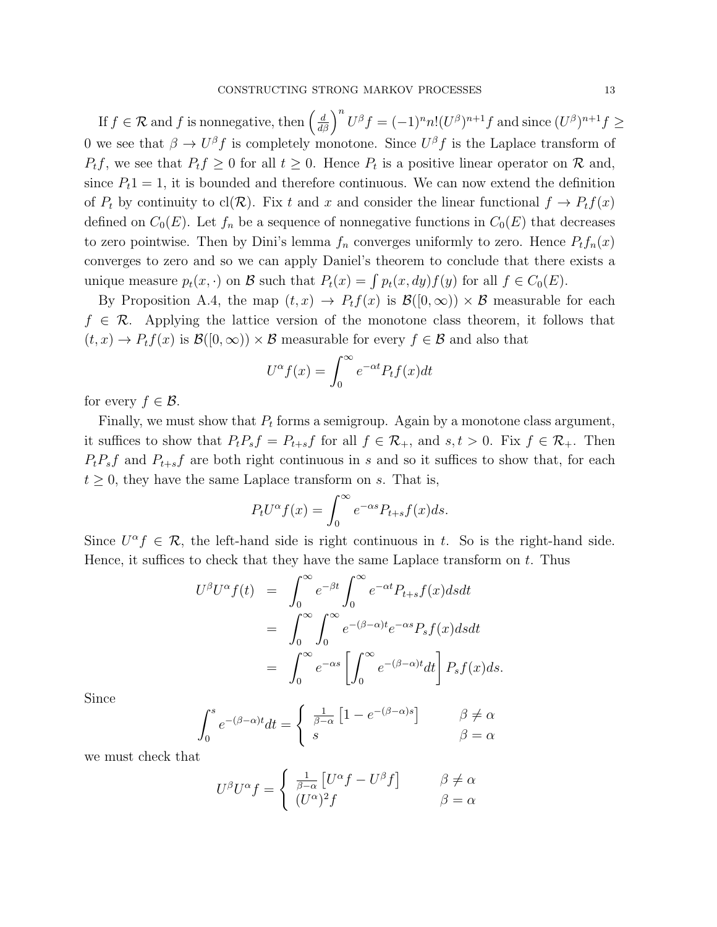If  $f \in \mathcal{R}$  and f is nonnegative, then  $\left(\frac{d}{d\beta}\right)^n U^{\beta} f = (-1)^n n! (U^{\beta})^{n+1} f$  and since  $(U^{\beta})^{n+1} f \ge$ 0 we see that  $\beta \to U^{\beta} f$  is completely monotone. Since  $U^{\beta} f$  is the Laplace transform of  $P_t f$ , we see that  $P_t f \geq 0$  for all  $t \geq 0$ . Hence  $P_t$  is a positive linear operator on  $\mathcal{R}$  and, since  $P_t1 = 1$ , it is bounded and therefore continuous. We can now extend the definition of  $P_t$  by continuity to cl( $\mathcal{R}$ ). Fix t and x and consider the linear functional  $f \to P_t f(x)$ defined on  $C_0(E)$ . Let  $f_n$  be a sequence of nonnegative functions in  $C_0(E)$  that decreases to zero pointwise. Then by Dini's lemma  $f_n$  converges uniformly to zero. Hence  $P_t f_n(x)$ converges to zero and so we can apply Daniel's theorem to conclude that there exists a unique measure  $p_t(x, \cdot)$  on B such that  $P_t(x) = \int p_t(x, dy) f(y)$  for all  $f \in C_0(E)$ .

By Proposition A.4, the map  $(t, x) \rightarrow P_t f(x)$  is  $\mathcal{B}([0, \infty)) \times \mathcal{B}$  measurable for each  $f \in \mathcal{R}$ . Applying the lattice version of the monotone class theorem, it follows that  $(t, x) \to P_t f(x)$  is  $\mathcal{B}([0, \infty)) \times \mathcal{B}$  measurable for every  $f \in \mathcal{B}$  and also that

$$
U^{\alpha}f(x) = \int_0^{\infty} e^{-\alpha t} P_t f(x) dt
$$

for every  $f \in \mathcal{B}$ .

Finally, we must show that  $P_t$  forms a semigroup. Again by a monotone class argument, it suffices to show that  $P_tP_sf=P_{t+s}f$  for all  $f\in\mathcal{R}_+$ , and  $s,t>0$ . Fix  $f\in\mathcal{R}_+$ . Then  $P_tP_sf$  and  $P_{t+s}f$  are both right continuous in s and so it suffices to show that, for each  $t \geq 0$ , they have the same Laplace transform on s. That is,

$$
P_t U^{\alpha} f(x) = \int_0^{\infty} e^{-\alpha s} P_{t+s} f(x) ds.
$$

Since  $U^{\alpha} f \in \mathcal{R}$ , the left-hand side is right continuous in t. So is the right-hand side. Hence, it suffices to check that they have the same Laplace transform on  $t$ . Thus

$$
U^{\beta}U^{\alpha}f(t) = \int_0^{\infty} e^{-\beta t} \int_0^{\infty} e^{-\alpha t} P_{t+s}f(x)dsdt
$$
  
= 
$$
\int_0^{\infty} \int_0^{\infty} e^{-(\beta-\alpha)t} e^{-\alpha s} P_s f(x)dsdt
$$
  
= 
$$
\int_0^{\infty} e^{-\alpha s} \left[ \int_0^{\infty} e^{-(\beta-\alpha)t}dt \right] P_s f(x)ds.
$$

Since

$$
\int_0^s e^{-(\beta-\alpha)t} dt = \begin{cases} \frac{1}{\beta-\alpha} \left[ 1 - e^{-(\beta-\alpha)s} \right] & \beta \neq \alpha \\ s & \beta = \alpha \end{cases}
$$

we must check that

$$
U^{\beta}U^{\alpha}f = \begin{cases} \frac{1}{\beta-\alpha} \left[ U^{\alpha}f - U^{\beta}f \right] & \beta \neq \alpha \\ (U^{\alpha})^2 f & \beta = \alpha \end{cases}
$$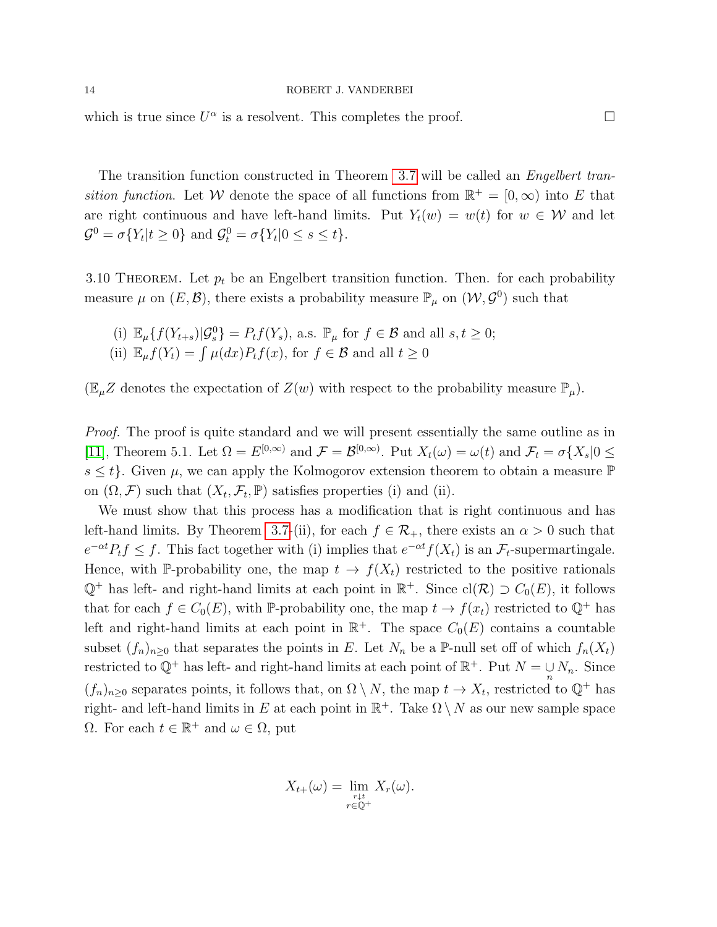<span id="page-13-1"></span>which is true since  $U^{\alpha}$  is a resolvent. This completes the proof.

The transition function constructed in Theorem [3.7](#page-9-4) will be called an Engelbert transition function. Let W denote the space of all functions from  $\mathbb{R}^+ = [0, \infty)$  into E that are right continuous and have left-hand limits. Put  $Y_t(w) = w(t)$  for  $w \in W$  and let  $\mathcal{G}^0 = \sigma\{Y_t | t \ge 0\}$  and  $\mathcal{G}_t^0 = \sigma\{Y_t | 0 \le s \le t\}.$ 

<span id="page-13-0"></span>3.10 THEOREM. Let  $p_t$  be an Engelbert transition function. Then. for each probability measure  $\mu$  on  $(E, \mathcal{B})$ , there exists a probability measure  $\mathbb{P}_{\mu}$  on  $(\mathcal{W}, \mathcal{G}^0)$  such that

(i) 
$$
\mathbb{E}_{\mu}\{f(Y_{t+s})|\mathcal{G}_{s}^{0}\}=P_{t}f(Y_{s}),
$$
 a.s.  $\mathbb{P}_{\mu}$  for  $f \in \mathcal{B}$  and all  $s, t \geq 0$ ;  
(ii)  $\mathbb{E}_{\mu}f(Y_{t})=\int \mu(dx)P_{t}f(x)$ , for  $f \in \mathcal{B}$  and all  $t \geq 0$ 

 $(\mathbb{E}_{\mu}Z$  denotes the expectation of  $Z(w)$  with respect to the probability measure  $\mathbb{P}_{\mu}$ .

Proof. The proof is quite standard and we will present essentially the same outline as in [\[11\]](#page-23-3), Theorem 5.1. Let  $\Omega = E^{[0,\infty)}$  and  $\mathcal{F} = \mathcal{B}^{[0,\infty)}$ . Put  $X_t(\omega) = \omega(t)$  and  $\mathcal{F}_t = \sigma\{X_s | 0 \leq t \leq T_s\}$  $s \leq t$ . Given  $\mu$ , we can apply the Kolmogorov extension theorem to obtain a measure  $\mathbb P$ on  $(\Omega, \mathcal{F})$  such that  $(X_t, \mathcal{F}_t, \mathbb{P})$  satisfies properties (i) and (ii).

We must show that this process has a modification that is right continuous and has left-hand limits. By Theorem [3.7-](#page-9-4)(ii), for each  $f \in \mathcal{R}_+$ , there exists an  $\alpha > 0$  such that  $e^{-\alpha t}P_tf\leq f$ . This fact together with (i) implies that  $e^{-\alpha t}f(X_t)$  is an  $\mathcal{F}_t$ -supermartingale. Hence, with P-probability one, the map  $t \to f(X_t)$  restricted to the positive rationals  $\mathbb{Q}^+$  has left- and right-hand limits at each point in  $\mathbb{R}^+$ . Since  $\text{cl}(\mathcal{R}) \supset C_0(E)$ , it follows that for each  $f \in C_0(E)$ , with P-probability one, the map  $t \to f(x_t)$  restricted to  $\mathbb{Q}^+$  has left and right-hand limits at each point in  $\mathbb{R}^+$ . The space  $C_0(E)$  contains a countable subset  $(f_n)_{n\geq 0}$  that separates the points in E. Let  $N_n$  be a P-null set off of which  $f_n(X_t)$ restricted to  $\mathbb{Q}^+$  has left- and right-hand limits at each point of  $\mathbb{R}^+$ . Put  $N = \bigcup_n N_n$ . Since  $(f_n)_{n\geq 0}$  separates points, it follows that, on  $\Omega \setminus N$ , the map  $t \to X_t$ , restricted to  $\mathbb{Q}^+$  has right- and left-hand limits in E at each point in  $\mathbb{R}^+$ . Take  $\Omega \setminus N$  as our new sample space  $\Omega$ . For each  $t \in \mathbb{R}^+$  and  $\omega \in \Omega$ , put

$$
X_{t+}(\omega) = \lim_{\substack{r \downarrow t \\ r \in \mathbb{Q}^+}} X_r(\omega).
$$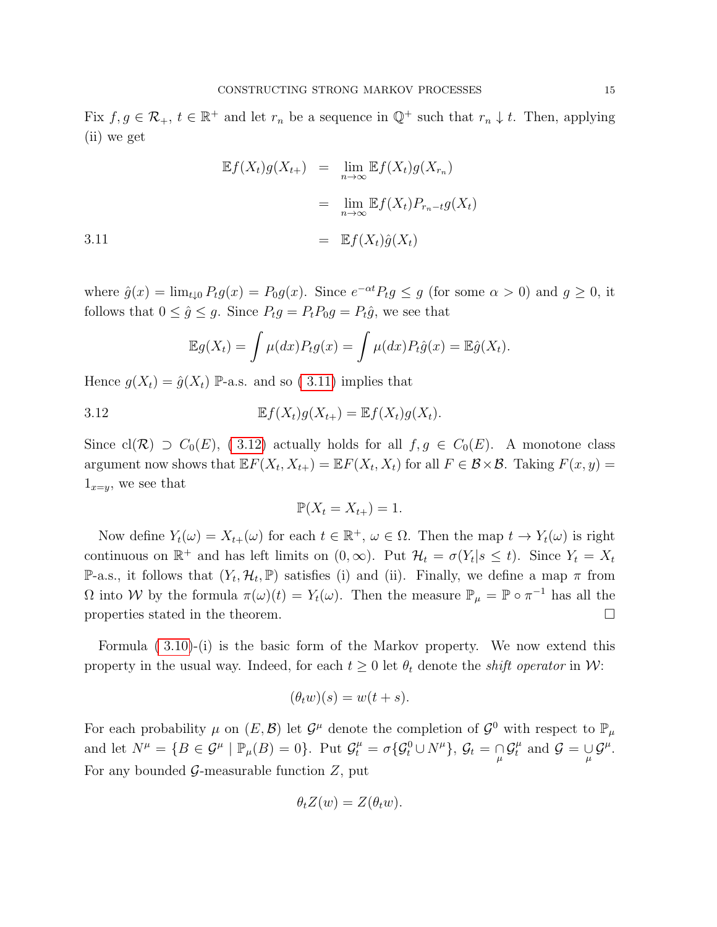<span id="page-14-0"></span>Fix  $f, g \in \mathcal{R}_+$ ,  $t \in \mathbb{R}^+$  and let  $r_n$  be a sequence in  $\mathbb{Q}^+$  such that  $r_n \downarrow t$ . Then, applying (ii) we get

$$
\mathbb{E}f(X_t)g(X_{t+}) = \lim_{n \to \infty} \mathbb{E}f(X_t)g(X_{r_n})
$$

$$
= \lim_{n \to \infty} \mathbb{E}f(X_t)P_{r_n - t}g(X_t)
$$
  
3.11 
$$
= \mathbb{E}f(X_t)\hat{g}(X_t)
$$

where  $\hat{g}(x) = \lim_{t \downarrow 0} P_t g(x) = P_0 g(x)$ . Since  $e^{-\alpha t} P_t g \le g$  (for some  $\alpha > 0$ ) and  $g \ge 0$ , it follows that  $0 \le \hat{g} \le g$ . Since  $P_t g = P_t P_0 g = P_t \hat{g}$ , we see that

$$
\mathbb{E}g(X_t) = \int \mu(dx) P_t g(x) = \int \mu(dx) P_t \hat{g}(x) = \mathbb{E}\hat{g}(X_t).
$$

Hence  $g(X_t) = \hat{g}(X_t)$  P-a.s. and so (3.11) implies that

3.12 
$$
\mathbb{E}f(X_t)g(X_{t+}) = \mathbb{E}f(X_t)g(X_t).
$$

Since cl(R)  $\supset C_0(E)$ , (3.12) actually holds for all  $f, g \in C_0(E)$ . A monotone class argument now shows that  $\mathbb{E} F(X_t, X_{t+}) = \mathbb{E} F(X_t, X_t)$  for all  $F \in \mathcal{B} \times \mathcal{B}$ . Taking  $F(x, y) =$  $1_{x=y}$ , we see that

<span id="page-14-1"></span>
$$
\mathbb{P}(X_t = X_{t+}) = 1.
$$

Now define  $Y_t(\omega) = X_{t+1}(\omega)$  for each  $t \in \mathbb{R}^+, \omega \in \Omega$ . Then the map  $t \to Y_t(\omega)$  is right continuous on  $\mathbb{R}^+$  and has left limits on  $(0,\infty)$ . Put  $\mathcal{H}_t = \sigma(Y_t|s \leq t)$ . Since  $Y_t = X_t$ P-a.s., it follows that  $(Y_t, \mathcal{H}_t, \mathbb{P})$  satisfies (i) and (ii). Finally, we define a map  $\pi$  from  $\Omega$  into W by the formula  $\pi(\omega)(t) = Y_t(\omega)$ . Then the measure  $\mathbb{P}_{\mu} = \mathbb{P} \circ \pi^{-1}$  has all the properties stated in the theorem.  $\Box$ 

Formula [\( 3.10\)](#page-13-0)-(i) is the basic form of the Markov property. We now extend this property in the usual way. Indeed, for each  $t \geq 0$  let  $\theta_t$  denote the *shift operator* in W:

$$
(\theta_t w)(s) = w(t+s).
$$

For each probability  $\mu$  on  $(E, \mathcal{B})$  let  $\mathcal{G}^{\mu}$  denote the completion of  $\mathcal{G}^0$  with respect to  $\mathbb{P}_{\mu}$ and let  $N^{\mu} = \{B \in \mathcal{G}^{\mu} \mid \mathbb{P}_{\mu}(B) = 0\}$ . Put  $\mathcal{G}^{\mu}_t = \sigma \{ \mathcal{G}^0_t \cup N^{\mu} \}, \mathcal{G}_t = \mathcal{G}^{\mu}_t \mathcal{G}^{\mu}_t$  and  $\mathcal{G} = \mathcal{G}^{\mu}_t$ . For any bounded  $\mathcal{G}$ -measurable function  $Z$ , put

$$
\theta_t Z(w) = Z(\theta_t w).
$$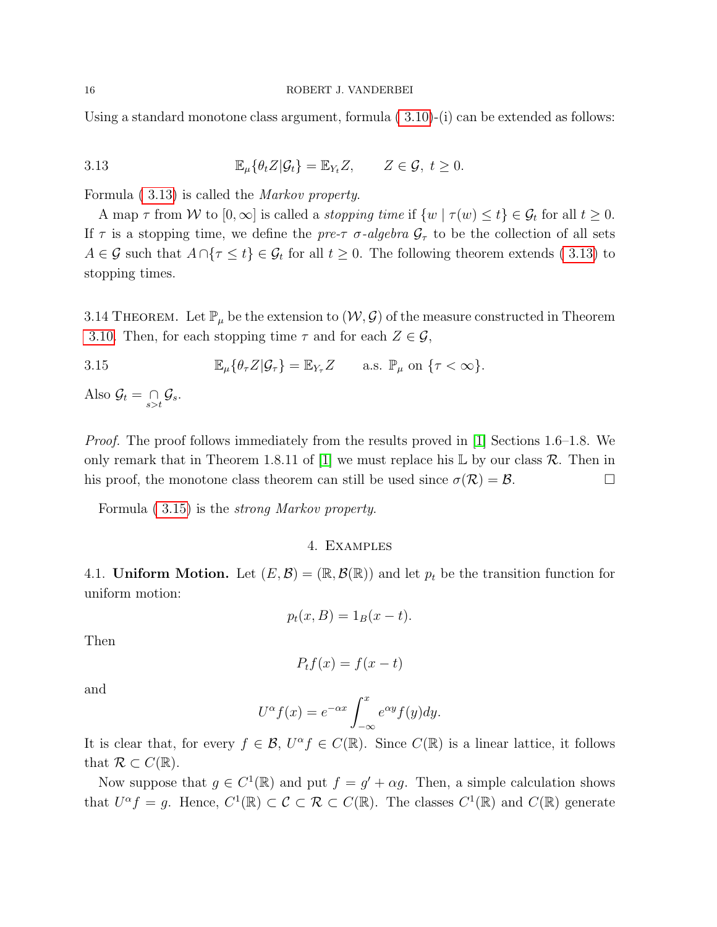<span id="page-15-2"></span><span id="page-15-0"></span>Using a standard monotone class argument, formula [\( 3.10\)](#page-13-0)-(i) can be extended as follows:

3.13 
$$
\mathbb{E}_{\mu}\{\theta_t Z | \mathcal{G}_t\} = \mathbb{E}_{Y_t} Z, \qquad Z \in \mathcal{G}, t \geq 0.
$$

Formula [\( 3.13\)](#page-15-0) is called the Markov property.

A map  $\tau$  from W to  $[0,\infty]$  is called a *stopping time* if  $\{w \mid \tau(w) \leq t\} \in \mathcal{G}_t$  for all  $t \geq 0$ . If  $\tau$  is a stopping time, we define the pre- $\tau$   $\sigma$ -algebra  $\mathcal{G}_{\tau}$  to be the collection of all sets  $A \in \mathcal{G}$  such that  $A \cap \{\tau \leq t\} \in \mathcal{G}_t$  for all  $t \geq 0$ . The following theorem extends (3.13) to stopping times.

3.14 THEOREM. Let  $\mathbb{P}_{\mu}$  be the extension to  $(\mathcal{W}, \mathcal{G})$  of the measure constructed in Theorem [3.10.](#page-13-0) Then, for each stopping time  $\tau$  and for each  $Z \in \mathcal{G}$ ,

3.15 
$$
\mathbb{E}_{\mu}\{\theta_{\tau}Z|\mathcal{G}_{\tau}\} = \mathbb{E}_{Y_{\tau}}Z \quad \text{a.s. } \mathbb{P}_{\mu} \text{ on } \{\tau < \infty\}.
$$

Also  $\mathcal{G}_t = \bigcap_{s>t} \mathcal{G}_s$ .

Proof. The proof follows immediately from the results proved in [\[1\]](#page-23-14) Sections 1.6–1.8. We only remark that in Theorem 1.8.11 of [\[1\]](#page-23-14) we must replace his  $\mathbb L$  by our class  $\mathcal R$ . Then in his proof, the monotone class theorem can still be used since  $\sigma(\mathcal{R}) = \mathcal{B}$ .

Formula [\( 3.15\)](#page-15-1) is the strong Markov property.

# <span id="page-15-1"></span>4. Examples

4.1. Uniform Motion. Let  $(E, \mathcal{B}) = (\mathbb{R}, \mathcal{B}(\mathbb{R}))$  and let  $p_t$  be the transition function for uniform motion:

$$
p_t(x, B) = 1_B(x - t).
$$

Then

$$
P_t f(x) = f(x - t)
$$

and

$$
U^{\alpha}f(x) = e^{-\alpha x} \int_{-\infty}^{x} e^{\alpha y} f(y) dy.
$$

It is clear that, for every  $f \in \mathcal{B}$ ,  $U^{\alpha} f \in C(\mathbb{R})$ . Since  $C(\mathbb{R})$  is a linear lattice, it follows that  $\mathcal{R} \subset C(\mathbb{R})$ .

Now suppose that  $g \in C^1(\mathbb{R})$  and put  $f = g' + \alpha g$ . Then, a simple calculation shows that  $U^{\alpha} f = g$ . Hence,  $C^{1}(\mathbb{R}) \subset \mathcal{C} \subset \mathcal{R} \subset C(\mathbb{R})$ . The classes  $C^{1}(\mathbb{R})$  and  $C(\mathbb{R})$  generate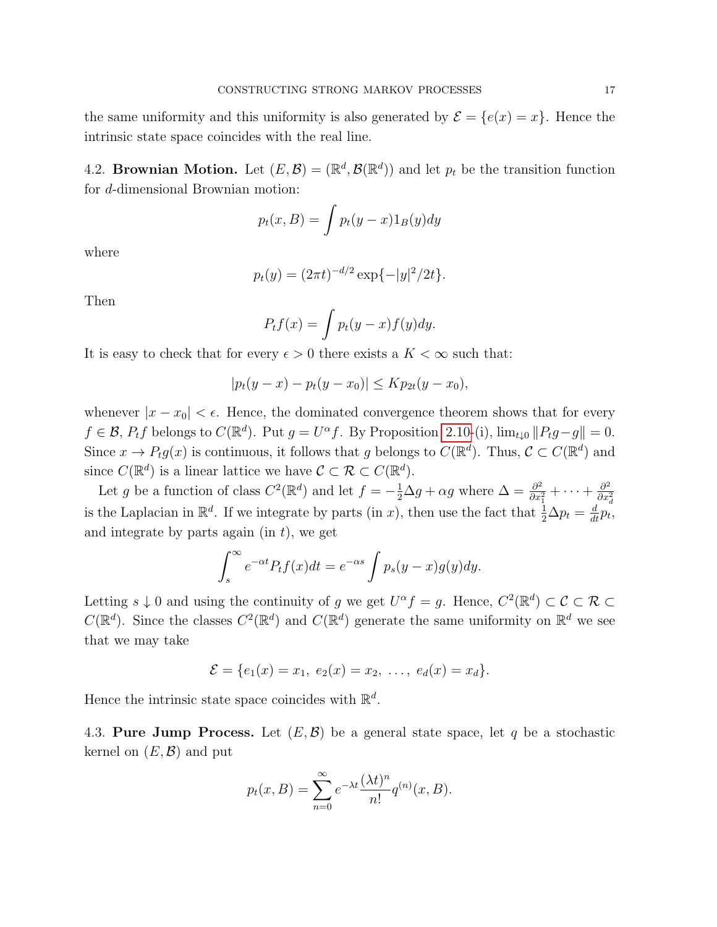the same uniformity and this uniformity is also generated by  $\mathcal{E} = \{e(x) = x\}$ . Hence the intrinsic state space coincides with the real line.

<span id="page-16-0"></span>4.2. Brownian Motion. Let  $(E, \mathcal{B}) = (\mathbb{R}^d, \mathcal{B}(\mathbb{R}^d))$  and let  $p_t$  be the transition function for d-dimensional Brownian motion:

$$
p_t(x, B) = \int p_t(y - x) 1_B(y) dy
$$

where

$$
p_t(y) = (2\pi t)^{-d/2} \exp\{-|y|^2/2t\}.
$$

Then

$$
P_t f(x) = \int p_t(y-x) f(y) dy.
$$

It is easy to check that for every  $\epsilon > 0$  there exists a  $K < \infty$  such that:

$$
|p_t(y - x) - p_t(y - x_0)| \le K p_{2t}(y - x_0),
$$

whenever  $|x - x_0| < \epsilon$ . Hence, the dominated convergence theorem shows that for every  $f \in \mathcal{B}$ ,  $P_t f$  belongs to  $C(\mathbb{R}^d)$ . Put  $g = U^{\alpha} f$ . By Proposition [2.10-](#page-4-0)(i),  $\lim_{t \downarrow 0} ||P_t g - g|| = 0$ . Since  $x \to P_t g(x)$  is continuous, it follows that g belongs to  $C(\mathbb{R}^d)$ . Thus,  $C \subset C(\mathbb{R}^d)$  and since  $C(\mathbb{R}^d)$  is a linear lattice we have  $\mathcal{C} \subset \mathcal{R} \subset C(\mathbb{R}^d)$ .

Let g be a function of class  $C^2(\mathbb{R}^d)$  and let  $f = -\frac{1}{2}\Delta g + \alpha g$  where  $\Delta = \frac{\partial^2}{\partial x^2}$  $\frac{\partial^2}{\partial x_1^2} + \cdots + \frac{\partial^2}{\partial x_i^2}$  $\overline{\partial x^2_d}$ is the Laplacian in  $\mathbb{R}^d$ . If we integrate by parts (in x), then use the fact that  $\frac{1}{2}\Delta p_t = \frac{d}{dt}p_t$ , and integrate by parts again (in  $t$ ), we get

$$
\int_{s}^{\infty} e^{-\alpha t} P_t f(x) dt = e^{-\alpha s} \int p_s (y - x) g(y) dy.
$$

Letting  $s \downarrow 0$  and using the continuity of g we get  $U^{\alpha} f = g$ . Hence,  $C^2(\mathbb{R}^d) \subset \mathcal{C} \subset \mathcal{R} \subset \mathcal{C}$  $C(\mathbb{R}^d)$ . Since the classes  $C^2(\mathbb{R}^d)$  and  $C(\mathbb{R}^d)$  generate the same uniformity on  $\mathbb{R}^d$  we see that we may take

$$
\mathcal{E} = \{e_1(x) = x_1, e_2(x) = x_2, \ldots, e_d(x) = x_d\}.
$$

Hence the intrinsic state space coincides with  $\mathbb{R}^d$ .

4.3. Pure Jump Process. Let  $(E, \mathcal{B})$  be a general state space, let q be a stochastic kernel on  $(E, \mathcal{B})$  and put

$$
p_t(x, B) = \sum_{n=0}^{\infty} e^{-\lambda t} \frac{(\lambda t)^n}{n!} q^{(n)}(x, B).
$$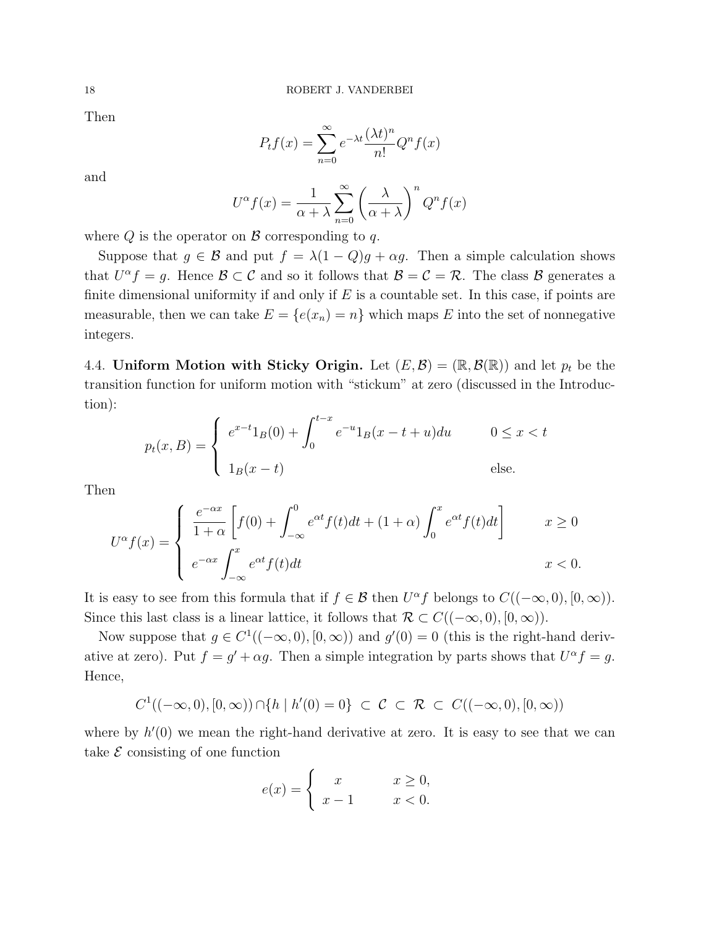Then

$$
P_t f(x) = \sum_{n=0}^{\infty} e^{-\lambda t} \frac{(\lambda t)^n}{n!} Q^n f(x)
$$

and

$$
U^{\alpha}f(x) = \frac{1}{\alpha + \lambda} \sum_{n=0}^{\infty} \left(\frac{\lambda}{\alpha + \lambda}\right)^n Q^n f(x)
$$

where  $Q$  is the operator on  $\beta$  corresponding to q.

Suppose that  $g \in \mathcal{B}$  and put  $f = \lambda(1 - Q)g + \alpha g$ . Then a simple calculation shows that  $U^{\alpha} f = g$ . Hence  $\mathcal{B} \subset \mathcal{C}$  and so it follows that  $\mathcal{B} = \mathcal{C} = \mathcal{R}$ . The class  $\mathcal{B}$  generates a finite dimensional uniformity if and only if  $E$  is a countable set. In this case, if points are measurable, then we can take  $E = \{e(x_n) = n\}$  which maps E into the set of nonnegative integers.

4.4. Uniform Motion with Sticky Origin. Let  $(E, \mathcal{B}) = (\mathbb{R}, \mathcal{B}(\mathbb{R}))$  and let  $p_t$  be the transition function for uniform motion with "stickum" at zero (discussed in the Introduction):

$$
p_t(x, B) = \begin{cases} e^{x-t} 1_B(0) + \int_0^{t-x} e^{-u} 1_B(x-t+u) du & 0 \le x < t \\ 1_B(x-t) & \text{else.} \end{cases}
$$

Then

$$
U^{\alpha}f(x) = \begin{cases} \frac{e^{-\alpha x}}{1+\alpha} \left[ f(0) + \int_{-\infty}^{0} e^{\alpha t} f(t)dt + (1+\alpha) \int_{0}^{x} e^{\alpha t} f(t)dt \right] & x \ge 0 \\ e^{-\alpha x} \int_{-\infty}^{x} e^{\alpha t} f(t)dt & x < 0. \end{cases}
$$

It is easy to see from this formula that if  $f \in \mathcal{B}$  then  $U^{\alpha} f$  belongs to  $C((-\infty,0), [0,\infty))$ . Since this last class is a linear lattice, it follows that  $\mathcal{R} \subset C((-\infty,0), [0,\infty)).$ 

Now suppose that  $g \in C^1((-\infty,0), [0,\infty))$  and  $g'(0) = 0$  (this is the right-hand derivative at zero). Put  $f = g' + \alpha g$ . Then a simple integration by parts shows that  $U^{\alpha} f = g$ . Hence,

$$
C^1((-\infty,0),[0,\infty)) \cap \{h \mid h'(0) = 0\} \subset \mathcal{C} \subset \mathcal{R} \subset C((-\infty,0),[0,\infty))
$$

where by  $h'(0)$  we mean the right-hand derivative at zero. It is easy to see that we can take  $\mathcal E$  consisting of one function

$$
e(x) = \begin{cases} x & x \ge 0, \\ x - 1 & x < 0. \end{cases}
$$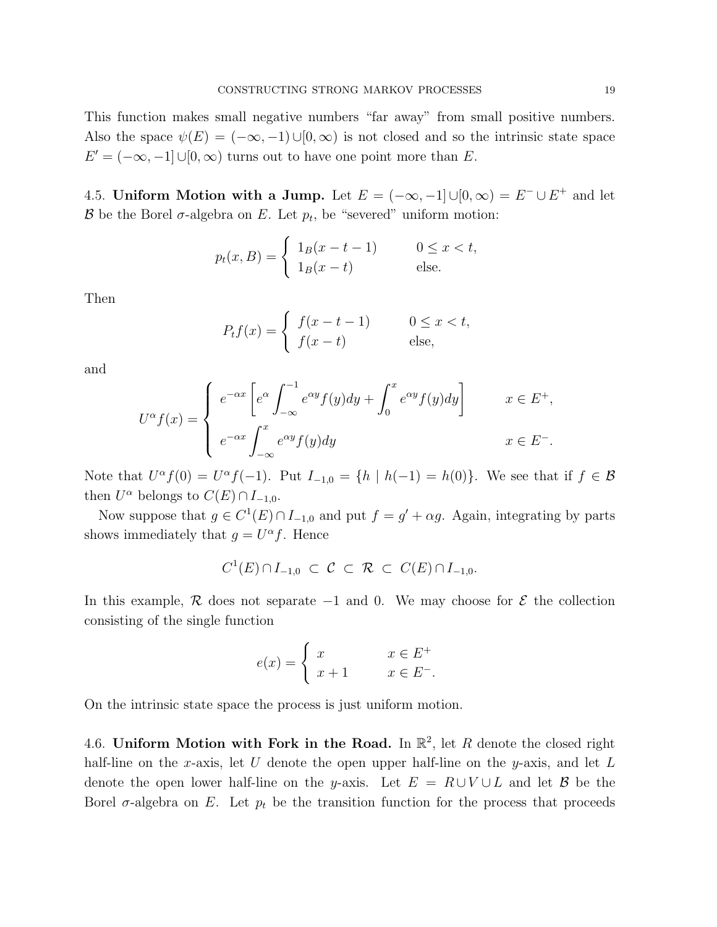This function makes small negative numbers "far away" from small positive numbers. Also the space  $\psi(E) = (-\infty, -1) \cup [0, \infty)$  is not closed and so the intrinsic state space  $E' = (-\infty, -1] \cup [0, \infty)$  turns out to have one point more than E.

4.5. Uniform Motion with a Jump. Let  $E = (-\infty, -1] \cup [0, \infty) = E^- \cup E^+$  and let B be the Borel  $\sigma$ -algebra on E. Let  $p_t$ , be "severed" uniform motion:

$$
p_t(x, B) = \begin{cases} 1_B(x - t - 1) & 0 \le x < t, \\ 1_B(x - t) & \text{else.} \end{cases}
$$

Then

$$
P_t f(x) = \begin{cases} f(x - t - 1) & 0 \le x < t, \\ f(x - t) & \text{else,} \end{cases}
$$

and

$$
U^{\alpha}f(x) = \begin{cases} e^{-\alpha x} \left[ e^{\alpha} \int_{-\infty}^{-1} e^{\alpha y} f(y) dy + \int_{0}^{x} e^{\alpha y} f(y) dy \right] & x \in E^{+}, \\ e^{-\alpha x} \int_{-\infty}^{x} e^{\alpha y} f(y) dy & x \in E^{-}. \end{cases}
$$

Note that  $U^{\alpha} f(0) = U^{\alpha} f(-1)$ . Put  $I_{-1,0} = \{h \mid h(-1) = h(0)\}$ . We see that if  $f \in \mathcal{B}$ then  $U^{\alpha}$  belongs to  $C(E) \cap I_{-1,0}$ .

Now suppose that  $g \in C^1(E) \cap I_{-1,0}$  and put  $f = g' + \alpha g$ . Again, integrating by parts shows immediately that  $g = U^{\alpha} f$ . Hence

$$
C^1(E) \cap I_{-1,0} \subset \mathcal{C} \subset \mathcal{R} \subset C(E) \cap I_{-1,0}.
$$

In this example, R does not separate  $-1$  and 0. We may choose for  $\mathcal E$  the collection consisting of the single function

$$
e(x) = \begin{cases} x & x \in E^+ \\ x+1 & x \in E^-. \end{cases}
$$

On the intrinsic state space the process is just uniform motion.

4.6. Uniform Motion with Fork in the Road. In  $\mathbb{R}^2$ , let R denote the closed right half-line on the x-axis, let U denote the open upper half-line on the y-axis, and let  $L$ denote the open lower half-line on the y-axis. Let  $E = R \cup V \cup L$  and let B be the Borel  $\sigma$ -algebra on E. Let  $p_t$  be the transition function for the process that proceeds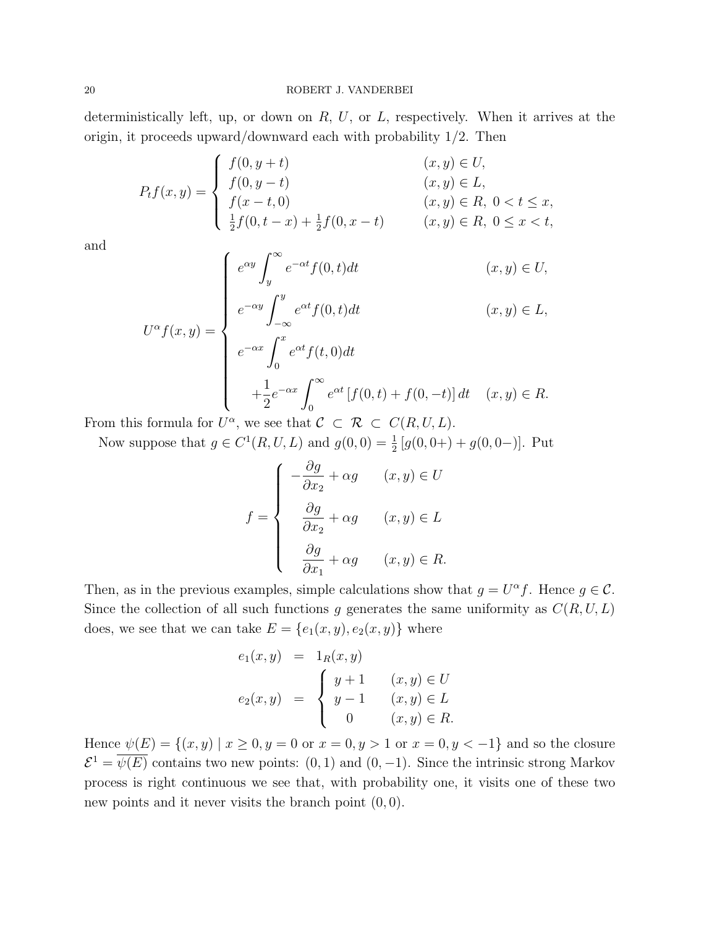deterministically left, up, or down on  $R, U$ , or  $L$ , respectively. When it arrives at the origin, it proceeds upward/downward each with probability 1/2. Then

$$
P_t f(x, y) = \begin{cases} f(0, y + t) & (x, y) \in U, \\ f(0, y - t) & (x, y) \in L, \\ f(x - t, 0) & (x, y) \in R, \ 0 < t \le x, \\ \frac{1}{2}f(0, t - x) + \frac{1}{2}f(0, x - t) & (x, y) \in R, \ 0 \le x < t, \end{cases}
$$

and

$$
U^{\alpha}f(x,y) = \begin{cases} e^{\alpha y} \int_{y}^{\infty} e^{-\alpha t} f(0,t)dt & (x,y) \in U, \\ e^{-\alpha y} \int_{-\infty}^{y} e^{\alpha t} f(0,t)dt & (x,y) \in L, \\ e^{-\alpha x} \int_{0}^{x} e^{\alpha t} f(t,0)dt \\ + \frac{1}{2} e^{-\alpha x} \int_{0}^{\infty} e^{\alpha t} [f(0,t) + f(0,-t)] dt & (x,y) \in R. \end{cases}
$$

From this formula for  $U^{\alpha}$ , we see that  $\mathcal{C} \subset \mathcal{R} \subset C(R, U, L)$ .

Now suppose that  $g \in C^1(R, U, L)$  and  $g(0, 0) = \frac{1}{2} [g(0, 0+) + g(0, 0-)].$  Put

$$
f = \begin{cases} \n-\frac{\partial g}{\partial x_2} + \alpha g & (x, y) \in U \\ \n\frac{\partial g}{\partial x_2} + \alpha g & (x, y) \in L \\ \n\frac{\partial g}{\partial x_1} + \alpha g & (x, y) \in R. \n\end{cases}
$$

Then, as in the previous examples, simple calculations show that  $g = U^{\alpha} f$ . Hence  $g \in \mathcal{C}$ . Since the collection of all such functions g generates the same uniformity as  $C(R, U, L)$ does, we see that we can take  $E = \{e_1(x, y), e_2(x, y)\}\$  where

$$
e_1(x, y) = 1_R(x, y)
$$
  
\n
$$
e_2(x, y) = \begin{cases} y+1 & (x, y) \in U \\ y-1 & (x, y) \in L \\ 0 & (x, y) \in R. \end{cases}
$$

Hence  $\psi(E) = \{(x, y) | x \ge 0, y = 0 \text{ or } x = 0, y > 1 \text{ or } x = 0, y < -1\}$  and so the closure  $\mathcal{E}^1 = \overline{\psi(E)}$  contains two new points: (0, 1) and (0, -1). Since the intrinsic strong Markov process is right continuous we see that, with probability one, it visits one of these two new points and it never visits the branch point  $(0, 0)$ .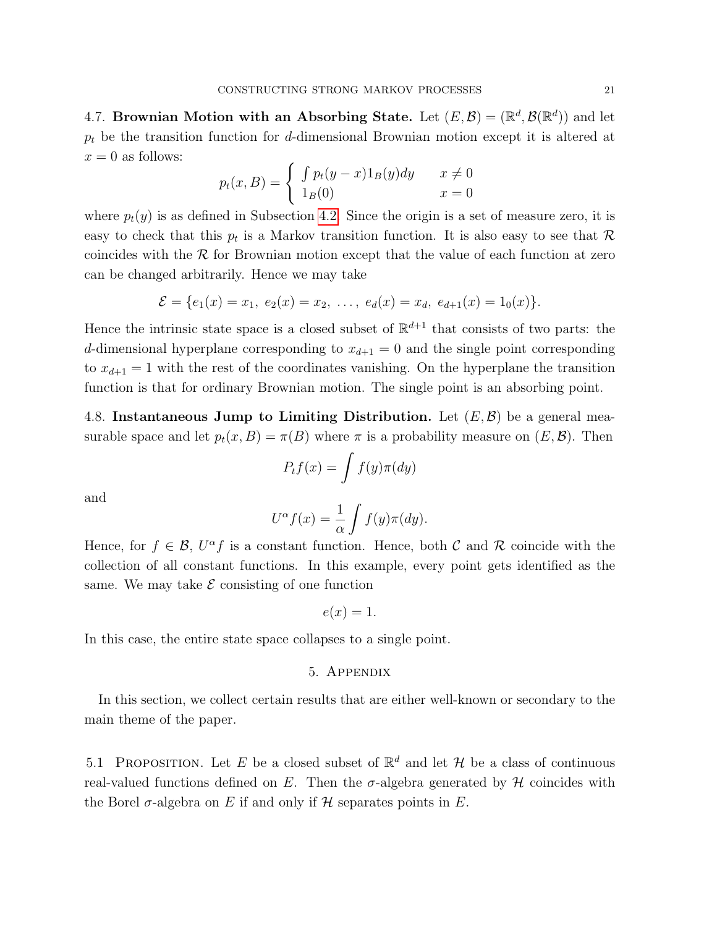4.7. Brownian Motion with an Absorbing State. Let  $(E, \mathcal{B}) = (\mathbb{R}^d, \mathcal{B}(\mathbb{R}^d))$  and let  $p_t$  be the transition function for d-dimensional Brownian motion except it is altered at  $x = 0$  as follows:

$$
p_t(x, B) = \begin{cases} \int p_t(y-x)1_B(y)dy & x \neq 0\\ 1_B(0) & x = 0 \end{cases}
$$

where  $p_t(y)$  is as defined in Subsection [4.2.](#page-16-0) Since the origin is a set of measure zero, it is easy to check that this  $p_t$  is a Markov transition function. It is also easy to see that  $\mathcal R$ coincides with the  $R$  for Brownian motion except that the value of each function at zero can be changed arbitrarily. Hence we may take

$$
\mathcal{E} = \{e_1(x) = x_1, e_2(x) = x_2, \ldots, e_d(x) = x_d, e_{d+1}(x) = 1_0(x)\}.
$$

Hence the intrinsic state space is a closed subset of  $\mathbb{R}^{d+1}$  that consists of two parts: the d-dimensional hyperplane corresponding to  $x_{d+1} = 0$  and the single point corresponding to  $x_{d+1} = 1$  with the rest of the coordinates vanishing. On the hyperplane the transition function is that for ordinary Brownian motion. The single point is an absorbing point.

<span id="page-20-0"></span>4.8. Instantaneous Jump to Limiting Distribution. Let  $(E, \mathcal{B})$  be a general measurable space and let  $p_t(x, B) = \pi(B)$  where  $\pi$  is a probability measure on  $(E, \mathcal{B})$ . Then

$$
P_t f(x) = \int f(y) \pi(dy)
$$

and

$$
U^{\alpha}f(x) = \frac{1}{\alpha} \int f(y)\pi(dy).
$$

Hence, for  $f \in \mathcal{B}$ ,  $U^{\alpha} f$  is a constant function. Hence, both C and R coincide with the collection of all constant functions. In this example, every point gets identified as the same. We may take  $\mathcal E$  consisting of one function

$$
e(x) = 1.
$$

In this case, the entire state space collapses to a single point.

# 5. Appendix

In this section, we collect certain results that are either well-known or secondary to the main theme of the paper.

<span id="page-20-1"></span>5.1 PROPOSITION. Let E be a closed subset of  $\mathbb{R}^d$  and let H be a class of continuous real-valued functions defined on E. Then the  $\sigma$ -algebra generated by H coincides with the Borel  $\sigma$ -algebra on E if and only if H separates points in E.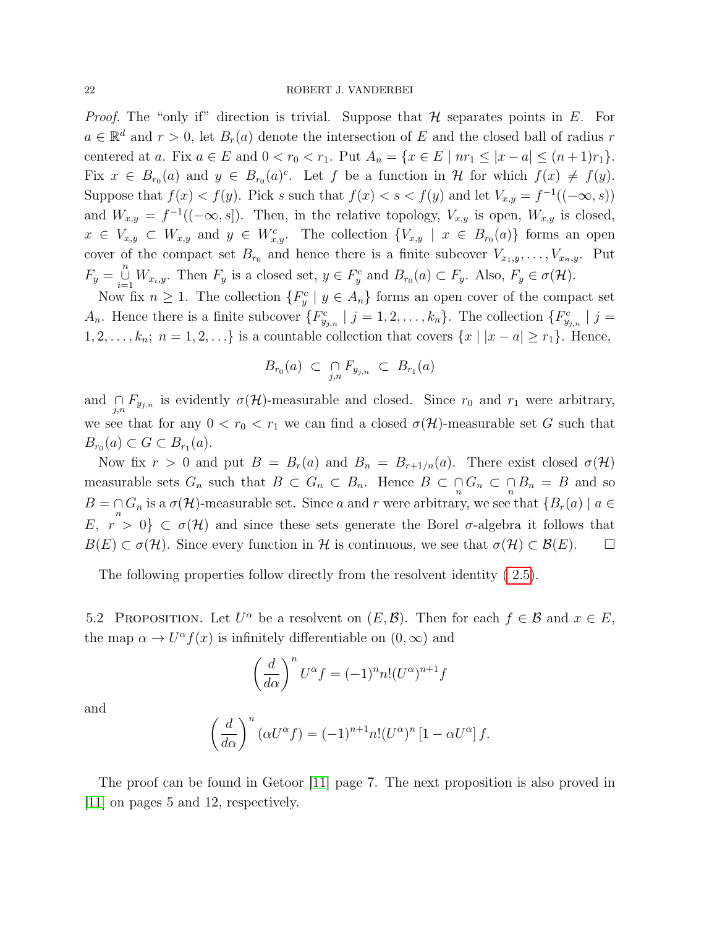<span id="page-21-1"></span>*Proof.* The "only if" direction is trivial. Suppose that  $H$  separates points in E. For  $a \in \mathbb{R}^d$  and  $r > 0$ , let  $B_r(a)$  denote the intersection of E and the closed ball of radius r centered at a. Fix  $a \in E$  and  $0 < r_0 < r_1$ . Put  $A_n = \{x \in E \mid nr_1 \leq |x - a| \leq (n+1)r_1\}.$ Fix  $x \in B_{r_0}(a)$  and  $y \in B_{r_0}(a)^c$ . Let f be a function in H for which  $f(x) \neq f(y)$ . Suppose that  $f(x) < f(y)$ . Pick s such that  $f(x) < s < f(y)$  and let  $V_{x,y} = f^{-1}((-\infty, s))$ and  $W_{x,y} = f^{-1}((-\infty, s])$ . Then, in the relative topology,  $V_{x,y}$  is open,  $W_{x,y}$  is closed,  $x \in V_{x,y} \subset W_{x,y}$  and  $y \in W_{x,y}^c$ . The collection  $\{V_{x,y} \mid x \in B_{r_0}(a)\}\)$  forms an open cover of the compact set  $B_{r_0}$  and hence there is a finite subcover  $V_{x_1,y}, \ldots, V_{x_n,y}$ . Put  $F_y = \bigcup_{i=1}^n W_{x_i,y}$ . Then  $F_y$  is a closed set,  $y \in F_y^c$  and  $B_{r_0}(a) \subset F_y$ . Also,  $F_y \in \sigma(\mathcal{H})$ .

Now fix  $n \geq 1$ . The collection  $\{F_y^c \mid y \in A_n\}$  forms an open cover of the compact set  $A_n$ . Hence there is a finite subcover  $\{F_{y_{j,n}}^c \mid j=1,2,\ldots,k_n\}$ . The collection  $\{F_{y_{j,n}}^c \mid j=1,2,\ldots,k_n\}$ .  $1, 2, \ldots, k_n; n = 1, 2, \ldots$  is a countable collection that covers  $\{x \mid |x - a| \ge r_1\}$ . Hence,

$$
B_{r_0}(a) \subset \bigcap_{j,n} F_{y_{j,n}} \subset B_{r_1}(a)
$$

and  $\bigcap_{j,n} F_{y_{j,n}}$  is evidently  $\sigma(\mathcal{H})$ -measurable and closed. Since  $r_0$  and  $r_1$  were arbitrary, we see that for any  $0 < r_0 < r_1$  we can find a closed  $\sigma(\mathcal{H})$ -measurable set G such that  $B_{r_0}(a) \subset G \subset B_{r_1}(a).$ 

Now fix  $r > 0$  and put  $B = B_r(a)$  and  $B_n = B_{r+1/n}(a)$ . There exist closed  $\sigma(\mathcal{H})$ measurable sets  $G_n$  such that  $B \subset G_n \subset B_n$ . Hence  $B \subset \bigcap_n G_n \subset B_n = B$  and so  $B = \bigcap_{n} G_n$  is a  $\sigma(\mathcal{H})$ -measurable set. Since a and r were arbitrary, we see that  $\{B_r(a) \mid a \in$ E,  $r > 0$   $\subset \sigma(\mathcal{H})$  and since these sets generate the Borel  $\sigma$ -algebra it follows that  $B(E) \subset \sigma(\mathcal{H})$ . Since every function in H is continuous, we see that  $\sigma(\mathcal{H}) \subset \mathcal{B}(E)$ .  $\Box$ 

The following properties follow directly from the resolvent identity [\( 2.5\)](#page-3-0).

<span id="page-21-0"></span>5.2 PROPOSITION. Let  $U^{\alpha}$  be a resolvent on  $(E, \mathcal{B})$ . Then for each  $f \in \mathcal{B}$  and  $x \in E$ , the map  $\alpha \to U^{\alpha} f(x)$  is infinitely differentiable on  $(0, \infty)$  and

$$
\left(\frac{d}{d\alpha}\right)^n U^{\alpha} f = (-1)^n n! (U^{\alpha})^{n+1} f
$$

and

$$
\left(\frac{d}{d\alpha}\right)^n(\alpha U^{\alpha}f) = (-1)^{n+1}n!(U^{\alpha})^n\left[1 - \alpha U^{\alpha}\right]f.
$$

The proof can be found in Getoor [\[11\]](#page-23-3) page 7. The next proposition is also proved in [\[11\]](#page-23-3) on pages 5 and 12, respectively.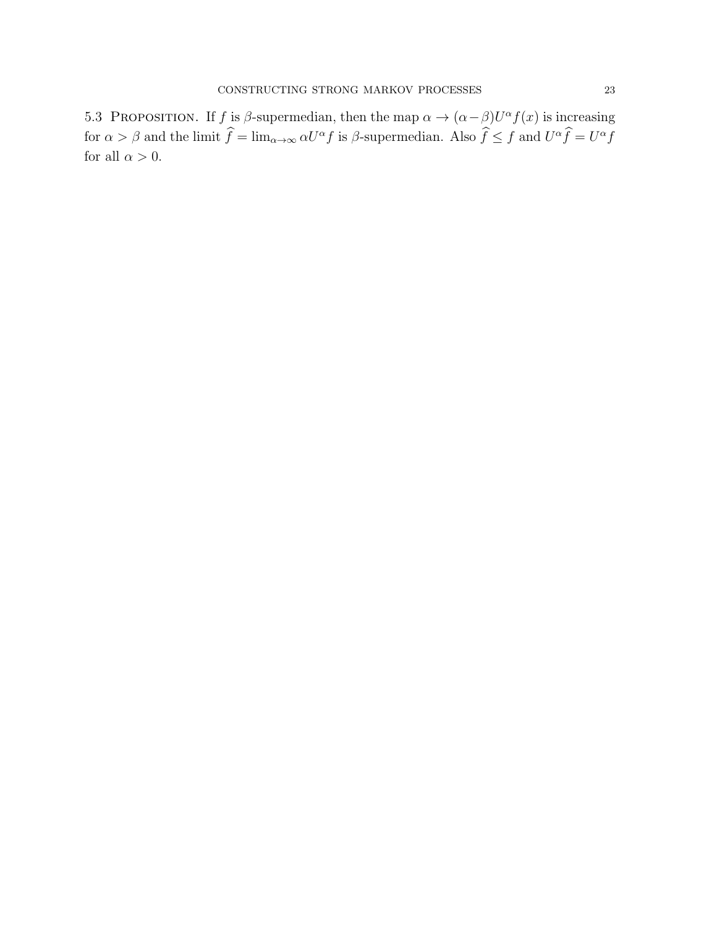<span id="page-22-0"></span>5.3 PROPOSITION. If f is  $\beta$ -supermedian, then the map  $\alpha \to (\alpha - \beta)U^{\alpha}f(x)$  is increasing for  $\alpha > \beta$  and the limit  $\hat{f} = \lim_{\alpha \to \infty} \alpha U^{\alpha} f$  is  $\beta$ -supermedian. Also  $\hat{f} \le f$  and  $U^{\alpha} \hat{f} = U^{\alpha} f$ for all  $\alpha > 0$ .